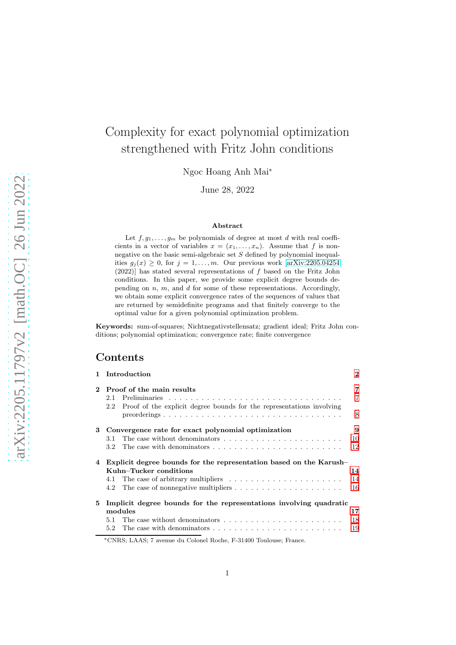# Complexity for exact polynomial optimization strengthened with Fritz John conditions

Ngoc Hoang Anh Mai<sup>∗</sup>

June 28, 2022

#### Abstract

Let  $f, g_1, \ldots, g_m$  be polynomials of degree at most d with real coefficients in a vector of variables  $x = (x_1, \ldots, x_n)$ . Assume that f is nonnegative on the basic semi-algebraic set S defined by polynomial inequalities  $g_j(x) \geq 0$ , for  $j = 1, ..., m$ . Our previous work [\[arXiv:2205.04254](http://arxiv.org/abs/2205.04254)] (2022)] has stated several representations of f based on the Fritz John conditions. In this paper, we provide some explicit degree bounds depending on  $n$ ,  $m$ , and  $d$  for some of these representations. Accordingly, we obtain some explicit convergence rates of the sequences of values that are returned by semidefinite programs and that finitely converge to the optimal value for a given polynomial optimization problem.

Keywords: sum-of-squares; Nichtnegativstellensatz; gradient ideal; Fritz John conditions; polynomial optimization; convergence rate; finite convergence

## Contents

|          | 1 Introduction                                                                            | $\bf{2}$       |
|----------|-------------------------------------------------------------------------------------------|----------------|
| $\bf{2}$ | Proof of the main results                                                                 | 7              |
|          | 2.1<br>Proof of the explicit degree bounds for the representations involving<br>2.2       | $\overline{7}$ |
|          |                                                                                           | 8              |
|          | 3 Convergence rate for exact polynomial optimization                                      | 9              |
|          | The case without denominators<br>3.1                                                      | 10             |
|          | The case with denominators $\dots \dots \dots \dots \dots \dots \dots \dots \dots$<br>3.2 | 12             |
| 4        | Explicit degree bounds for the representation based on the Karush-                        |                |
|          | Kuhn–Tucker conditions                                                                    | 14             |
|          | 4.1                                                                                       | 14             |
|          | The case of nonnegative multipliers $\dots \dots \dots \dots \dots \dots \dots$<br>4.2    | 16             |
| 5        | Implicit degree bounds for the representations involving quadratic                        |                |
|          | modules                                                                                   | 17             |
|          | 5.1                                                                                       | 18             |
|          | 5.2                                                                                       | 19             |

<sup>∗</sup>CNRS; LAAS; 7 avenue du Colonel Roche, F-31400 Toulouse; France.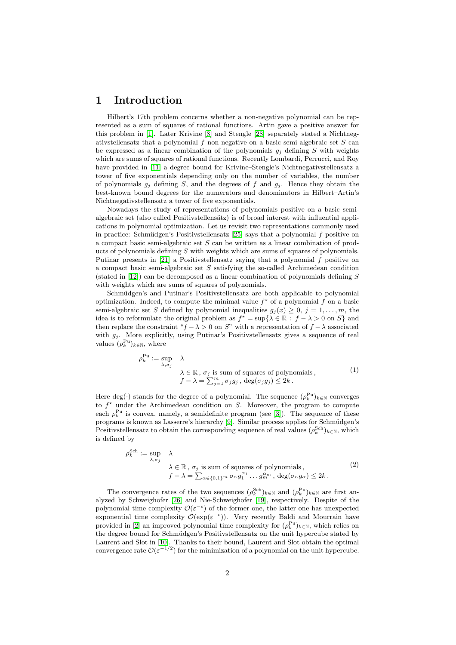### <span id="page-1-0"></span>1 Introduction

Hilbert's 17th problem concerns whether a non-negative polynomial can be represented as a sum of squares of rational functions. Artin gave a positive answer for this problem in [\[1\]](#page-20-0). Later Krivine [\[8\]](#page-20-1) and Stengle [\[28\]](#page-21-0) separately stated a Nichtnegativstellensatz that a polynomial  $f$  non-negative on a basic semi-algebraic set  $S$  can be expressed as a linear combination of the polynomials  $g_i$  defining S with weights which are sums of squares of rational functions. Recently Lombardi, Perrucci, and Roy have provided in [\[11\]](#page-20-2) a degree bound for Krivine–Stengle's Nichtnegativstellensatz a tower of five exponentials depending only on the number of variables, the number of polynomials  $g_i$  defining S, and the degrees of f and  $g_i$ . Hence they obtain the best-known bound degrees for the numerators and denominators in Hilbert–Artin's Nichtnegativstellensatz a tower of five exponentials.

Nowadays the study of representations of polynomials positive on a basic semialgebraic set (also called Positivstellensätz) is of broad interest with influential applications in polynomial optimization. Let us revisit two representations commonly used in practice: Schmüdgen's Positivstellensatz  $[25]$  says that a polynomial f positive on a compact basic semi-algebraic set  $S$  can be written as a linear combination of products of polynomials defining  $S$  with weights which are sums of squares of polynomials. Putinar presents in  $[21]$  a Positivstellensatz saying that a polynomial f positive on a compact basic semi-algebraic set S satisfying the so-called Archimedean condition (stated in  $[12]$ ) can be decomposed as a linear combination of polynomials defining S with weights which are sums of squares of polynomials.

Schmüdgen's and Putinar's Positivstellensatz are both applicable to polynomial optimization. Indeed, to compute the minimal value  $f^*$  of a polynomial f on a basic semi-algebraic set S defined by polynomial inequalities  $g_j(x) \geq 0, j = 1, \ldots, m$ , the idea is to reformulate the original problem as  $f^* = \sup\{\lambda \in \mathbb{R} : f - \lambda > 0 \text{ on } S\}$  and then replace the constraint " $f - \lambda > 0$  on S" with a representation of  $f - \lambda$  associated with  $g_i$ . More explicitly, using Putinar's Positivstellensatz gives a sequence of real values  $(\rho_k^{\text{Pu}})_{k \in \mathbb{N}}$ , where

$$
\rho_k^{\text{Pu}} := \sup_{\lambda, \sigma_j} \lambda
$$
  
\n
$$
\lambda \in \mathbb{R}, \sigma_j \text{ is sum of squares of polynomials,}
$$
  
\n
$$
f - \lambda = \sum_{j=1}^m \sigma_j g_j, \ \deg(\sigma_j g_j) \le 2k.
$$
 (1)

Here deg(·) stands for the degree of a polynomial. The sequence  $(\rho_k^{\text{Pu}})_{k \in \mathbb{N}}$  converges to  $f^*$  under the Archimedean condition on S. Moreover, the program to compute each  $\rho_k^{\text{Pu}}$  is convex, namely, a semidefinite program (see [\[3\]](#page-20-4)). The sequence of these programs is known as Lasserre's hierarchy [\[9\]](#page-20-5). Similar process applies for Schmüdgen's Positivstellensatz to obtain the corresponding sequence of real values  $(\rho_k^{\text{Sch}})_{k \in \mathbb{N}}$ , which is defined by

$$
\rho_k^{\text{Sch}} := \sup_{\lambda, \sigma_j} \lambda
$$
  
\n
$$
\lambda \in \mathbb{R}, \sigma_j \text{ is sum of squares of polynomials,}
$$
  
\n
$$
f - \lambda = \sum_{\alpha \in \{0,1\}^m} \sigma_{\alpha} g_1^{\alpha_1} \dots g_m^{\alpha_m}, \deg(\sigma_{\alpha} g_{\alpha}) \le 2k.
$$
\n
$$
(2)
$$

The convergence rates of the two sequences  $(\rho_k^{Sch})_{k \in \mathbb{N}}$  and  $(\rho_k^{Pu})_{k \in \mathbb{N}}$  are first analyzed by Schweighofer [\[26\]](#page-21-3) and Nie-Schweighofer [\[19\]](#page-20-6), respectively. Despite of the polynomial time complexity  $\mathcal{O}(\varepsilon^{-c})$  of the former one, the latter one has unexpected exponential time complexity  $\mathcal{O}(\exp(\varepsilon^{-c}))$ . Very recently Baldi and Mourrain have provided in [\[2\]](#page-20-7) an improved polynomial time complexity for  $(\rho_k^{\text{Pu}})_{k \in \mathbb{N}}$ , which relies on the degree bound for Schmüdgen's Positivstellensatz on the unit hypercube stated by Laurent and Slot in [\[10\]](#page-20-8). Thanks to their bound, Laurent and Slot obtain the optimal convergence rate  $\mathcal{O}(\varepsilon^{-1/2})$  for the minimization of a polynomial on the unit hypercube.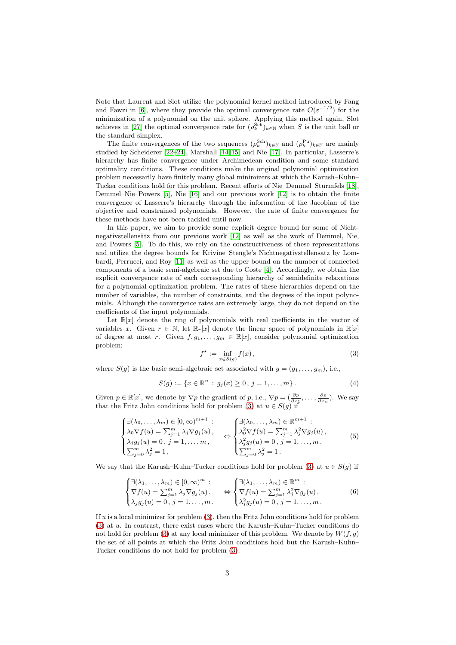Note that Laurent and Slot utilize the polynomial kernel method introduced by Fang and Fawzi in [\[6\]](#page-20-9), where they provide the optimal convergence rate  $\mathcal{O}(\varepsilon^{-1/2})$  for the minimization of a polynomial on the unit sphere. Applying this method again, Slot achieves in [\[27\]](#page-21-4) the optimal convergence rate for  $(\rho_k^{\text{Sch}})_{k \in \mathbb{N}}$  when S is the unit ball or the standard simplex.

The finite convergences of the two sequences  $(\rho_k^{\text{Sch}})_{k \in \mathbb{N}}$  and  $(\rho_k^{\text{Pu}})_{k \in \mathbb{N}}$  are mainly studied by Scheiderer [\[22–](#page-21-5)[24\]](#page-21-6), Marshall [\[14,](#page-20-10) [15\]](#page-20-11) and Nie [\[17\]](#page-20-12). In particular, Lasserre's hierarchy has finite convergence under Archimedean condition and some standard optimality conditions. These conditions make the original polynomial optimization problem necessarily have finitely many global minimizers at which the Karush–Kuhn– Tucker conditions hold for this problem. Recent efforts of Nie–Demmel–Sturmfels [\[18\]](#page-20-13), Demmel–Nie–Powers [\[5\]](#page-20-14), Nie [\[16\]](#page-20-15) and our previous work [\[12\]](#page-20-3) is to obtain the finite convergence of Lasserre's hierarchy through the information of the Jacobian of the objective and constrained polynomials. However, the rate of finite convergence for these methods have not been tackled until now.

In this paper, we aim to provide some explicit degree bound for some of Nicht-negativstellensätz from our previous work [\[12\]](#page-20-3) as well as the work of Demmel, Nie, and Powers [\[5\]](#page-20-14). To do this, we rely on the constructiveness of these representations and utilize the degree bounds for Krivine–Stengle's Nichtnegativstellensatz by Lombardi, Perrucci, and Roy [\[11\]](#page-20-2) as well as the upper bound on the number of connected components of a basic semi-algebraic set due to Coste [\[4\]](#page-20-16). Accordingly, we obtain the explicit convergence rate of each corresponding hierarchy of semidefinite relaxations for a polynomial optimization problem. The rates of these hierarchies depend on the number of variables, the number of constraints, and the degrees of the input polynomials. Although the convergence rates are extremely large, they do not depend on the coefficients of the input polynomials.

Let  $\mathbb{R}[x]$  denote the ring of polynomials with real coefficients in the vector of variables x. Given  $r \in \mathbb{N}$ , let  $\mathbb{R}_r[x]$  denote the linear space of polynomials in  $\mathbb{R}[x]$ of degree at most r. Given  $f, g_1, \ldots, g_m \in \mathbb{R}[x]$ , consider polynomial optimization problem:

<span id="page-2-1"></span>
$$
f^* := \inf_{x \in S(g)} f(x),\tag{3}
$$

<span id="page-2-0"></span>where  $S(g)$  is the basic semi-algebraic set associated with  $g = (g_1, \ldots, g_m)$ , i.e.,

$$
S(g) := \{ x \in \mathbb{R}^n : g_j(x) \ge 0, j = 1, ..., m \}.
$$
 (4)

Given  $p \in \mathbb{R}[x]$ , we denote by  $\nabla p$  the gradient of p, i.e.,  $\nabla p = (\frac{\partial p}{\partial x_1}, \dots, \frac{\partial p}{\partial x_n})$ . We say that the Fritz John conditions hold for problem [\(3\)](#page-2-0) at  $u \in S(g)$  if

$$
\begin{cases}\n\exists (\lambda_0, \ldots, \lambda_m) \in [0, \infty)^{m+1} : \\
\lambda_0 \nabla f(u) = \sum_{j=1}^m \lambda_j \nabla g_j(u), \\
\lambda_j g_j(u) = 0, \ j = 1, \ldots, m, \\
\sum_{j=0}^m \lambda_j^2 = 1, \end{cases} \Leftrightarrow \begin{cases}\n\exists (\lambda_0, \ldots, \lambda_m) \in \mathbb{R}^{m+1} : \\
\lambda_0^2 \nabla f(u) = \sum_{j=1}^m \lambda_j^2 \nabla g_j(u), \\
\lambda_j^2 g_j(u) = 0, \ j = 1, \ldots, m, \\
\sum_{j=0}^m \lambda_j^2 = 1.\n\end{cases} (5)
$$

We say that the Karush–Kuhn–Tucker conditions hold for problem [\(3\)](#page-2-0) at  $u \in S(q)$  if

$$
\begin{cases} \exists (\lambda_1, \dots, \lambda_m) \in [0, \infty)^m : \\ \nabla f(u) = \sum_{j=1}^m \lambda_j \nabla g_j(u), \quad \Leftrightarrow \begin{cases} \exists (\lambda_1, \dots, \lambda_m) \in \mathbb{R}^m : \\ \nabla f(u) = \sum_{j=1}^m \lambda_j^2 \nabla g_j(u), \\ \lambda_j g_j(u) = 0, j = 1, \dots, m. \end{cases} \quad (6)
$$

If  $u$  is a local minimizer for problem  $(3)$ , then the Fritz John conditions hold for problem  $(3)$  at u. In contrast, there exist cases where the Karush–Kuhn–Tucker conditions do not hold for problem [\(3\)](#page-2-0) at any local minimizer of this problem. We denote by  $W(f, g)$ the set of all points at which the Fritz John conditions hold but the Karush–Kuhn– Tucker conditions do not hold for problem [\(3\)](#page-2-0).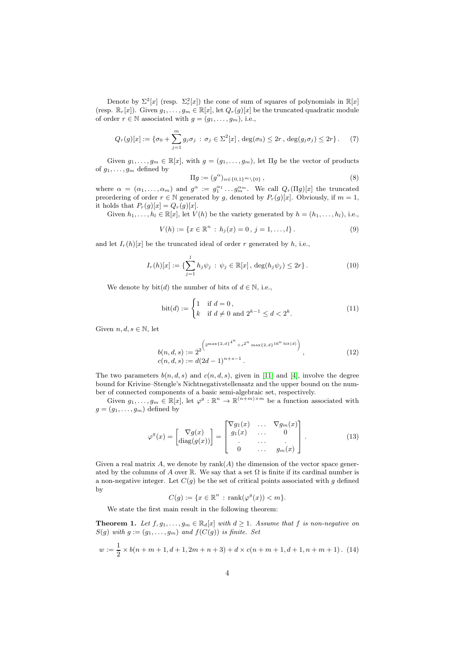Denote by  $\Sigma^2[x]$  (resp.  $\Sigma_r^2[x]$ ) the cone of sum of squares of polynomials in  $\mathbb{R}[x]$ (resp.  $\mathbb{R}_r[x]$ ). Given  $g_1, \ldots, g_m \in \mathbb{R}[x]$ , let  $Q_r(g)[x]$  be the truncated quadratic module of order  $r \in \mathbb{N}$  associated with  $g = (g_1, \ldots, g_m)$ , i.e.,

$$
Q_r(g)[x] := \{\sigma_0 + \sum_{j=1}^m g_j \sigma_j \,:\, \sigma_j \in \Sigma^2[x], \deg(\sigma_0) \le 2r, \deg(g_j \sigma_j) \le 2r\}.
$$
 (7)

Given  $g_1, \ldots, g_m \in \mathbb{R}[x]$ , with  $g = (g_1, \ldots, g_m)$ , let  $\Pi g$  be the vector of products of  $g_1, \ldots, g_m$  defined by

<span id="page-3-2"></span>
$$
\Pi g := (g^{\alpha})_{\alpha \in \{0,1\}^m \setminus \{0\}},\tag{8}
$$

where  $\alpha = (\alpha_1, \ldots, \alpha_m)$  and  $g^{\alpha} := g_1^{\alpha_1} \ldots g_m^{\alpha_m}$ . We call  $Q_r(\Pi g)[x]$  the truncated preordering of order  $r \in \mathbb{N}$  generated by g, denoted by  $P_r(g)[x]$ . Obviously, if  $m = 1$ , it holds that  $P_r(g)[x] = Q_r(g)[x]$ .

Given  $h_1, \ldots, h_l \in \mathbb{R}[x]$ , let  $V(h)$  be the variety generated by  $h = (h_1, \ldots, h_l)$ , i.e.,

$$
V(h) := \{x \in \mathbb{R}^n : h_j(x) = 0, j = 1, ..., l\}.
$$
 (9)

and let  $I_r(h)[x]$  be the truncated ideal of order r generated by h, i.e.,

$$
I_r(h)[x] := \{ \sum_{j=1}^l h_j \psi_j \, : \, \psi_j \in \mathbb{R}[x], \, \deg(h_j \psi_j) \le 2r \}.
$$
 (10)

We denote by  $bit(d)$  the number of bits of  $d \in \mathbb{N}$ , i.e.,

$$
bit(d) := \begin{cases} 1 & \text{if } d = 0, \\ k & \text{if } d \neq 0 \text{ and } 2^{k-1} \le d < 2^k. \end{cases} \tag{11}
$$

Given  $n, d, s \in \mathbb{N}$ , let

$$
b(n,d,s) := 2^{2^{\left(2^{\max\{2,d\}^{4^n} + s^{2^n} \max\{2,d\}^{16^n \text{ bit}(d)}\right)}},\tag{12}
$$
  

$$
c(n,d,s) := d(2d-1)^{n+s-1}.
$$

The two parameters  $b(n, d, s)$  and  $c(n, d, s)$ , given in [\[11\]](#page-20-2) and [\[4\]](#page-20-16), involve the degree bound for Krivine–Stengle's Nichtnegativstellensatz and the upper bound on the number of connected components of a basic semi-algebraic set, respectively.

Given  $g_1, \ldots, g_m \in \mathbb{R}[x]$ , let  $\varphi^g : \mathbb{R}^n \to \mathbb{R}^{(n+m)\times m}$  be a function associated with  $g = (g_1, \ldots, g_m)$  defined by

$$
\varphi^g(x) = \begin{bmatrix} \nabla g(x) \\ \text{diag}(g(x)) \end{bmatrix} = \begin{bmatrix} \nabla g_1(x) & \dots & \nabla g_m(x) \\ g_1(x) & \dots & 0 \\ \vdots & \dots & \vdots \\ 0 & \dots & g_m(x) \end{bmatrix} . \tag{13}
$$

Given a real matrix A, we denote by  $rank(A)$  the dimension of the vector space generated by the columns of A over R. We say that a set  $\Omega$  is finite if its cardinal number is a non-negative integer. Let  $C(g)$  be the set of critical points associated with g defined by

<span id="page-3-1"></span>
$$
C(g) := \{ x \in \mathbb{R}^n : \operatorname{rank}(\varphi^g(x)) < m \}.
$$

We state the first main result in the following theorem:

<span id="page-3-0"></span>**Theorem 1.** Let  $f, g_1, \ldots, g_m \in \mathbb{R}_d[x]$  with  $d \geq 1$ . Assume that f is non-negative on  $S(g)$  with  $g := (g_1, \ldots, g_m)$  and  $f(C(g))$  is finite. Set

$$
w := \frac{1}{2} \times b(n+m+1, d+1, 2m+n+3) + d \times c(n+m+1, d+1, n+m+1). \tag{14}
$$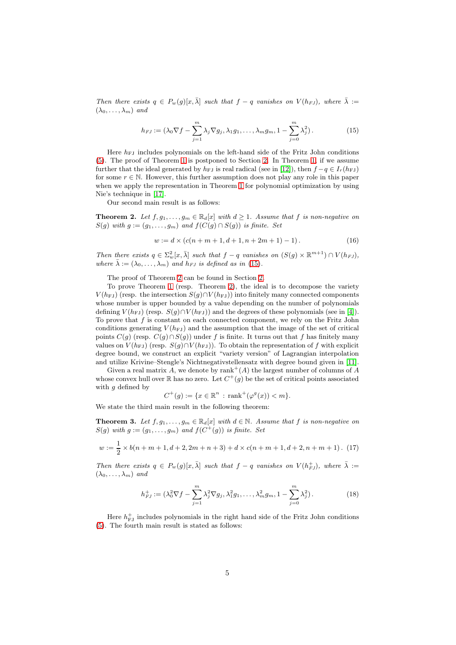Then there exists  $q \in P_w(g)[x, \bar{\lambda}]$  such that  $f - q$  vanishes on  $V(h_{FJ})$ , where  $\bar{\lambda} :=$  $(\lambda_0, \ldots, \lambda_m)$  and

<span id="page-4-0"></span>
$$
h_{FJ} := (\lambda_0 \nabla f - \sum_{j=1}^m \lambda_j \nabla g_j, \lambda_1 g_1, \dots, \lambda_m g_m, 1 - \sum_{j=0}^m \lambda_j^2).
$$
 (15)

Here  $h_{FJ}$  includes polynomials on the left-hand side of the Fritz John conditions [\(5\)](#page-2-1). The proof of Theorem [1](#page-3-0) is postponed to Section [2.](#page-6-0) In Theorem [1,](#page-3-0) if we assume further that the ideal generated by  $h_{FJ}$  is real radical (see in [\[12\]](#page-20-3)), then  $f - q \in I_r(h_{FJ})$ for some  $r \in \mathbb{N}$ . However, this further assumption does not play any role in this paper when we apply the representation in Theorem [1](#page-3-0) for polynomial optimization by using Nie's technique in [\[17\]](#page-20-12).

Our second main result is as follows:

<span id="page-4-1"></span>**Theorem 2.** Let  $f, g_1, \ldots, g_m \in \mathbb{R}_d[x]$  with  $d \geq 1$ . Assume that f is non-negative on  $S(q)$  with  $q := (q_1, \ldots, q_m)$  and  $f(C(q) \cap S(q))$  is finite. Set

<span id="page-4-4"></span>
$$
w := d \times (c(n+m+1, d+1, n+2m+1) - 1). \tag{16}
$$

Then there exists  $q \in \sum_{w=0}^{\infty} [x, \bar{\lambda}]$  such that  $f - q$  vanishes on  $(S(g) \times \mathbb{R}^{m+1}) \cap V(h_{FJ})$ , where  $\bar{\lambda} := (\lambda_0, \ldots, \lambda_m)$  and  $h_{FJ}$  is defined as in [\(15\)](#page-4-0).

The proof of Theorem [2](#page-4-1) can be found in Section [2.](#page-6-0)

To prove Theorem [1](#page-3-0) (resp. Theorem [2\)](#page-4-1), the ideal is to decompose the variety  $V(h<sub>FJ</sub>)$  (resp. the intersection  $S(g) \cap V(h<sub>FJ</sub>)$ ) into finitely many connected components whose number is upper bounded by a value depending on the number of polynomials defining  $V(h_{FJ})$  (resp.  $S(q) \cap V(h_{FJ})$ ) and the degrees of these polynomials (see in [\[4\]](#page-20-16)). To prove that f is constant on each connected component, we rely on the Fritz John conditions generating  $V(h_{FJ})$  and the assumption that the image of the set of critical points  $C(g)$  (resp.  $C(g) \cap S(g)$ ) under f is finite. It turns out that f has finitely many values on  $V(h_{FJ})$  (resp.  $S(g) \cap V(h_{FJ})$ ). To obtain the representation of f with explicit degree bound, we construct an explicit "variety version" of Lagrangian interpolation and utilize Krivine–Stengle's Nichtnegativstellensatz with degree bound given in [\[11\]](#page-20-2).

Given a real matrix A, we denote by  $\text{rank}^+(A)$  the largest number of columns of A whose convex hull over  $\mathbb R$  has no zero. Let  $C^+(g)$  be the set of critical points associated with  $q$  defined by

<span id="page-4-5"></span>
$$
C^+(g) := \{ x \in \mathbb{R}^n : \text{rank}^+(\varphi^g(x)) < m \}.
$$

We state the third main result in the following theorem:

<span id="page-4-3"></span>**Theorem 3.** Let  $f, g_1, \ldots, g_m \in \mathbb{R}_d[x]$  with  $d \in \mathbb{N}$ . Assume that f is non-negative on  $S(g)$  with  $g := (g_1, \ldots, g_m)$  and  $f(C^+(g))$  is finite. Set

$$
w := \frac{1}{2} \times b(n+m+1, d+2, 2m+n+3) + d \times c(n+m+1, d+2, n+m+1). \tag{17}
$$

Then there exists  $q \in P_w(g)[x, \bar{\lambda}]$  such that  $f - q$  vanishes on  $V(h_{FJ}^+)$ , where  $\bar{\lambda} :=$  $(\lambda_0, \ldots, \lambda_m)$  and

<span id="page-4-2"></span>
$$
h_{FJ}^+ := (\lambda_0^2 \nabla f - \sum_{j=1}^m \lambda_j^2 \nabla g_j, \lambda_1^2 g_1, \dots, \lambda_m^2 g_m, 1 - \sum_{j=0}^m \lambda_j^2).
$$
 (18)

Here  $h_{\rm{FJ}}^+$  includes polynomials in the right hand side of the Fritz John conditions [\(5\)](#page-2-1). The fourth main result is stated as follows: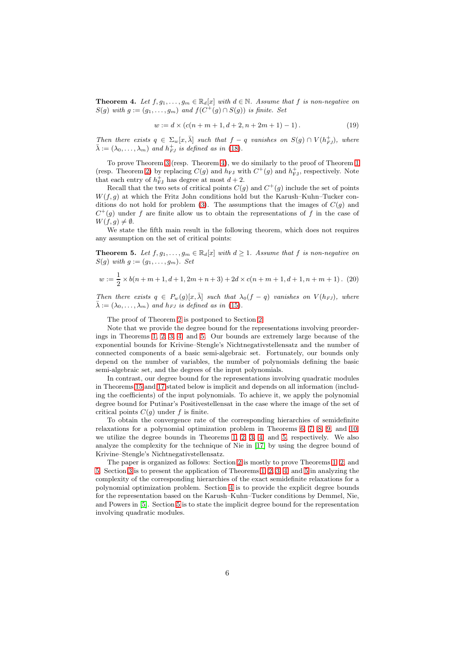<span id="page-5-0"></span>**Theorem 4.** Let  $f, g_1, \ldots, g_m \in \mathbb{R}_d[x]$  with  $d \in \mathbb{N}$ . Assume that f is non-negative on  $S(g)$  with  $g := (g_1, \ldots, g_m)$  and  $f(C^+(g) \cap S(g))$  is finite. Set

<span id="page-5-3"></span>
$$
w := d \times (c(n+m+1, d+2, n+2m+1) - 1). \tag{19}
$$

Then there exists  $q \in \Sigma_w[x, \overline{\lambda}]$  such that  $f - q$  vanishes on  $S(g) \cap V(h_{FJ}^+)$ , where  $\bar{\lambda} := (\lambda_0, \ldots, \lambda_m)$  and  $h_{FJ}^+$  is defined as in [\(18\)](#page-4-2).

To prove Theorem [3](#page-4-3) (resp. Theorem [4\)](#page-5-0), we do similarly to the proof of Theorem [1](#page-3-0) (resp. Theorem [2\)](#page-4-1) by replacing  $C(g)$  and  $h_{FJ}$  with  $C^+(g)$  and  $h_{FJ}^+$ , respectively. Note that each entry of  $h_{\text{FJ}}^{+}$  has degree at most  $d+2$ .

Recall that the two sets of critical points  $C(g)$  and  $C^+(g)$  include the set of points  $W(f,g)$  at which the Fritz John conditions hold but the Karush–Kuhn–Tucker con-ditions do not hold for problem [\(3\)](#page-2-0). The assumptions that the images of  $C(g)$  and  $C^+(g)$  under f are finite allow us to obtain the representations of f in the case of  $W(f, g) \neq \emptyset.$ 

We state the fifth main result in the following theorem, which does not requires any assumption on the set of critical points:

<span id="page-5-1"></span>**Theorem 5.** Let  $f, g_1, \ldots, g_m \in \mathbb{R}_d[x]$  with  $d \geq 1$ . Assume that f is non-negative on  $S(g)$  with  $g := (g_1, \ldots, g_m)$ . Set

<span id="page-5-2"></span>
$$
w := \frac{1}{2} \times b(n+m+1, d+1, 2m+n+3) + 2d \times c(n+m+1, d+1, n+m+1). (20)
$$

Then there exists  $q \in P_w(g)[x,\overline{\lambda}]$  such that  $\lambda_0(f-q)$  vanishes on  $V(h_{FJ})$ , where  $\bar{\lambda} := (\lambda_0, \ldots, \lambda_m)$  and  $h_{FJ}$  is defined as in [\(15\)](#page-4-0).

The proof of Theorem [2](#page-4-1) is postponed to Section [2.](#page-6-0)

Note that we provide the degree bound for the representations involving preorderings in Theorems [1,](#page-3-0) [2,](#page-4-1) [3,](#page-4-3) [4,](#page-5-0) and [5.](#page-5-1) Our bounds are extremely large because of the exponential bounds for Krivine–Stengle's Nichtnegativstellensatz and the number of connected components of a basic semi-algebraic set. Fortunately, our bounds only depend on the number of variables, the number of polynomials defining the basic semi-algebraic set, and the degrees of the input polynomials.

In contrast, our degree bound for the representations involving quadratic modules in Theorems [15](#page-17-1) and [17](#page-19-0) stated below is implicit and depends on all information (including the coefficients) of the input polynomials. To achieve it, we apply the polynomial degree bound for Putinar's Positivestellensat in the case where the image of the set of critical points  $C(q)$  under f is finite.

To obtain the convergence rate of the corresponding hierarchies of semidefinite relaxations for a polynomial optimization problem in Theorems [6,](#page-10-0) [7,](#page-11-1) [8,](#page-11-2) [9,](#page-11-3) and [10,](#page-12-0) we utilize the degree bounds in Theorems [1,](#page-3-0) [2,](#page-4-1) [3,](#page-4-3) [4,](#page-5-0) and [5,](#page-5-1) respectively. We also analyze the complexity for the technique of Nie in [\[17\]](#page-20-12) by using the degree bound of Krivine–Stengle's Nichtnegativstellensatz.

The paper is organized as follows: Section [2](#page-6-0) is mostly to prove Theorems [1,](#page-3-0) [2,](#page-4-1) and [5.](#page-5-1) Section [3](#page-8-0) is to present the application of Theorems [1,](#page-3-0) [2,](#page-4-1) [3,](#page-4-3) [4,](#page-5-0) and [5](#page-5-1) in analyzing the complexity of the corresponding hierarchies of the exact semidefinite relaxations for a polynomial optimization problem. Section [4](#page-13-0) is to provide the explicit degree bounds for the representation based on the Karush–Kuhn–Tucker conditions by Demmel, Nie, and Powers in [\[5\]](#page-20-14). Section [5](#page-16-0) is to state the implicit degree bound for the representation involving quadratic modules.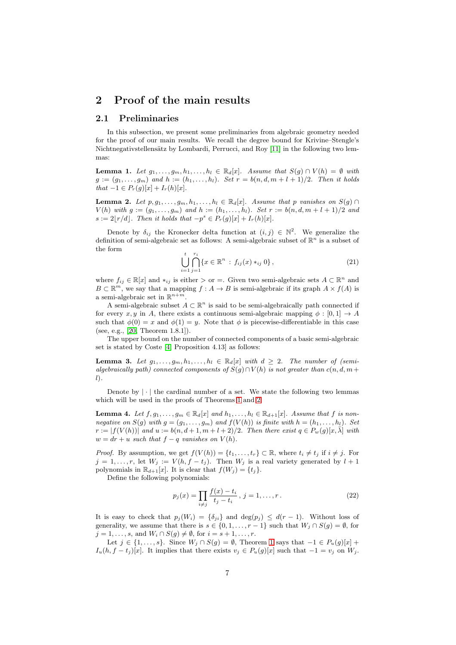### <span id="page-6-1"></span><span id="page-6-0"></span>2 Proof of the main results

### 2.1 Preliminaries

In this subsection, we present some preliminaries from algebraic geometry needed for the proof of our main results. We recall the degree bound for Krivine–Stengle's Nichtnegativstellensätz by Lombardi, Perrucci, and Roy [\[11\]](#page-20-2) in the following two lemmas:

<span id="page-6-2"></span>**Lemma 1.** Let  $g_1, \ldots, g_m, h_1, \ldots, h_l \in \mathbb{R}_d[x]$ . Assume that  $S(g) \cap V(h) = \emptyset$  with  $g := (g_1, \ldots, g_m)$  and  $h := (h_1, \ldots, h_l)$ . Set  $r = b(n, d, m + l + 1)/2$ . Then it holds  $that -1 \in P_r(g)[x] + I_r(h)[x].$ 

<span id="page-6-6"></span>**Lemma 2.** Let  $p, g_1, \ldots, g_m, h_1, \ldots, h_l \in \mathbb{R}_d[x]$ . Assume that p vanishes on  $S(g) \cap$  $V(h)$  with  $g := (g_1, \ldots, g_m)$  and  $h := (h_1, \ldots, h_l)$ . Set  $r := b(n, d, m + l + 1)/2$  and  $s := 2\lfloor r/d \rfloor$ . Then it holds that  $-p^s \in P_r(g)[x] + I_r(h)[x]$ .

Denote by  $\delta_{ij}$  the Kronecker delta function at  $(i, j) \in \mathbb{N}^2$ . We generalize the definition of semi-algebraic set as follows: A semi-algebraic subset of  $\mathbb{R}^n$  is a subset of the form

$$
\bigcup_{i=1}^{t} \bigcap_{j=1}^{r_i} \{x \in \mathbb{R}^n : f_{ij}(x) *_{ij} 0\},\tag{21}
$$

where  $f_{ij} \in \mathbb{R}[x]$  and  $*_ij$  is either  $\gt$  or =. Given two semi-algebraic sets  $A \subset \mathbb{R}^n$  and  $B \subset \mathbb{R}^m$ , we say that a mapping  $f : A \to B$  is semi-algebraic if its graph  $A \times f(A)$  is a semi-algebraic set in  $\mathbb{R}^{n+m}$ .

A semi-algebraic subset  $A \subset \mathbb{R}^n$  is said to be semi-algebraically path connected if for every x, y in A, there exists a continuous semi-algebraic mapping  $\phi : [0, 1] \rightarrow A$ such that  $\phi(0) = x$  and  $\phi(1) = y$ . Note that  $\phi$  is piecewise-differentiable in this case (see, e.g., [\[20,](#page-21-7) Theorem 1.8.1]).

The upper bound on the number of connected components of a basic semi-algebraic set is stated by Coste [\[4,](#page-20-16) Proposition 4.13] as follows:

<span id="page-6-5"></span>**Lemma 3.** Let  $g_1, \ldots, g_m, h_1, \ldots, h_l \in \mathbb{R}_d[x]$  with  $d \geq 2$ . The number of (semialgebraically path) connected components of  $S(q) \cap V(h)$  is not greater than  $c(n, d, m+1)$  $l$ ).

Denote by  $|\cdot|$  the cardinal number of a set. We state the following two lemmas which will be used in the proofs of Theorems [1](#page-3-0) and [2:](#page-4-1)

<span id="page-6-3"></span>**Lemma 4.** Let  $f, g_1, \ldots, g_m \in \mathbb{R}_d[x]$  and  $h_1, \ldots, h_l \in \mathbb{R}_{d+1}[x]$ . Assume that  $f$  is nonnegative on  $S(g)$  with  $g = (g_1, \ldots, g_m)$  and  $f(V(h))$  is finite with  $h = (h_1, \ldots, h_l)$ . Set  $r := |f(V(h))|$  and  $u := b(n, d+1, m+l+2)/2$ . Then there exist  $q \in P_w(g)[x, \overline{\lambda}]$  with  $w = dr + u$  such that  $f - q$  vanishes on  $V(h)$ .

*Proof.* By assumption, we get  $f(V(h)) = \{t_1, \ldots, t_r\} \subset \mathbb{R}$ , where  $t_i \neq t_j$  if  $i \neq j$ . For  $j = 1, \ldots, r$ , let  $W_j := V(h, f - t_j)$ . Then  $W_j$  is a real variety generated by  $l + 1$ polynomials in  $\mathbb{R}_{d+1}[x]$ . It is clear that  $f(W_j) = \{t_j\}.$ 

Define the following polynomials:

<span id="page-6-4"></span>
$$
p_j(x) = \prod_{i \neq j} \frac{f(x) - t_i}{t_j - t_i}, \ j = 1, \dots, r.
$$
 (22)

It is easy to check that  $p_i(W_i) = \{\delta_{ii}\}\$ and  $\deg(p_i) \leq d(r-1)$ . Without loss of generality, we assume that there is  $s \in \{0, 1, \ldots, r-1\}$  such that  $W_i \cap S(g) = \emptyset$ , for  $j = 1, \ldots, s$ , and  $W_i \cap S(g) \neq \emptyset$ , for  $i = s + 1, \ldots, r$ .

Let  $j \in \{1, ..., s\}$ . Since  $W_j \cap S(g) = \emptyset$ , Theorem [1](#page-6-2) says that  $-1 \in P_u(g)[x]$  +  $I_u(h, f - t_i)[x]$ . It implies that there exists  $v_i \in P_u(g)[x]$  such that  $-1 = v_i$  on  $W_i$ .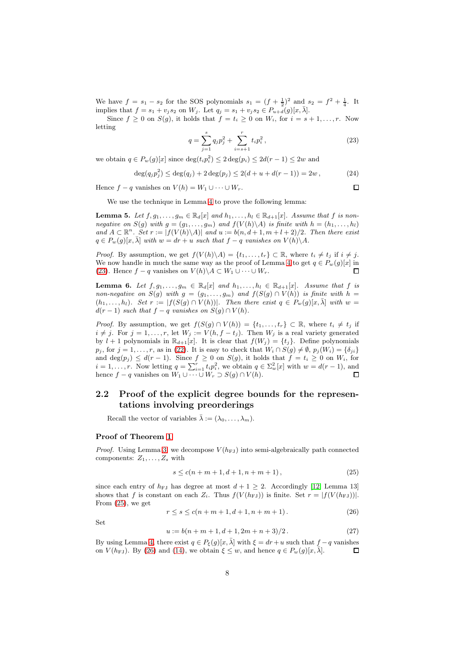We have  $f = s_1 - s_2$  for the SOS polynomials  $s_1 = (f + \frac{1}{2})^2$  and  $s_2 = f^2 + \frac{1}{4}$ . It implies that  $f = s_1 + v_j s_2$  on  $W_j$ . Let  $q_j = s_1 + v_j s_2 \in P_{u+j}(g)[x, \overline{\lambda}]$ .

<span id="page-7-1"></span>Since  $f \geq 0$  on  $S(g)$ , it holds that  $f = t_i \geq 0$  on  $W_i$ , for  $i = s + 1, \ldots, r$ . Now letting

$$
q = \sum_{j=1}^{s} q_j p_j^2 + \sum_{i=s+1}^{r} t_i p_i^2, \qquad (23)
$$

 $\Box$ 

we obtain  $q \in P_w(g)[x]$  since  $\deg(t_i p_i^2) \leq 2 \deg(p_i) \leq 2d(r-1) \leq 2w$  and

$$
\deg(q_j p_j^2) \le \deg(q_j) + 2 \deg(p_j) \le 2(d+u+d(r-1)) = 2w, \tag{24}
$$

Hence  $f - q$  vanishes on  $V(h) = W_1 \cup \cdots \cup W_r$ .

We use the technique in Lemma [4](#page-6-3) to prove the following lemma:

<span id="page-7-5"></span>**Lemma 5.** Let  $f, g_1, \ldots, g_m \in \mathbb{R}_d[x]$  and  $h_1, \ldots, h_l \in \mathbb{R}_{d+1}[x]$ . Assume that  $f$  is nonnegative on  $S(g)$  with  $g = (g_1, \ldots, g_m)$  and  $f(V(h)\backslash A)$  is finite with  $h = (h_1, \ldots, h_l)$ and  $A \subset \mathbb{R}^n$ . Set  $r := |f(V(h) \setminus A)|$  and  $u := b(n, d + 1, m + l + 2)/2$ . Then there exist  $q \in P_w(q)[x, \bar{\lambda}]$  with  $w = dr + u$  such that  $f - q$  vanishes on  $V(h)\backslash A$ .

*Proof.* By assumption, we get  $f(V(h)\backslash A) = \{t_1, \ldots, t_r\} \subset \mathbb{R}$ , where  $t_i \neq t_j$  if  $i \neq j$ . We now handle in much the same way as the proof of Lemma [4](#page-6-3) to get  $q \in P_w(g)[x]$  in [\(23\)](#page-7-1). Hence  $f - q$  vanishes on  $V(h)\backslash A \subset W_1 \cup \cdots \cup W_r$ .

<span id="page-7-4"></span>**Lemma 6.** Let  $f, g_1, \ldots, g_m \in \mathbb{R}_d[x]$  and  $h_1, \ldots, h_l \in \mathbb{R}_{d+1}[x]$ . Assume that f is non-negative on  $S(g)$  with  $g = (g_1, \ldots, g_m)$  and  $f(S(g) \cap V(h))$  is finite with  $h =$  $(h_1, \ldots, h_l)$ . Set  $r := |f(S(g) \cap V(h))|$ . Then there exist  $q \in P_w(g)[x, \overline{\lambda}]$  with  $w =$  $d(r-1)$  such that  $f-q$  vanishes on  $S(g) \cap V(h)$ .

*Proof.* By assumption, we get  $f(S(g) \cap V(h)) = \{t_1, \ldots, t_r\} \subset \mathbb{R}$ , where  $t_i \neq t_j$  if  $i \neq j$ . For  $j = 1, \ldots, r$ , let  $W_j := V(h, f - t_j)$ . Then  $W_j$  is a real variety generated by  $l + 1$  polynomials in  $\mathbb{R}_{d+1}[x]$ . It is clear that  $f(W_j) = \{t_j\}$ . Define polynomials  $p_j$ , for  $j = 1, \ldots, r$ , as in [\(22\)](#page-6-4). It is easy to check that  $W_i \cap S(g) \neq \emptyset$ ,  $p_j(W_i) = \{\delta_{ji}\}\$ and deg( $p_j$ )  $\leq d(r-1)$ . Since  $f \geq 0$  on  $S(g)$ , it holds that  $f = t_i \geq 0$  on  $W_i$ , for  $i = 1, \ldots, r$ . Now letting  $q = \sum_{i=1}^{r} t_i p_i^2$ , we obtain  $q \in \sum_{w}^{2} [x]$  with  $w = d(r - 1)$ , and hence  $f - q$  vanishes on  $W_1 \cup \cdots \cup W_r \supset S(g) \cap V(h)$ .  $\Box$ 

### <span id="page-7-0"></span>2.2 Proof of the explicit degree bounds for the representations involving preorderings

Recall the vector of variables  $\bar{\lambda} := (\lambda_0, \ldots, \lambda_m)$ .

#### Proof of Theorem [1](#page-3-0)

*Proof.* Using Lemma [3,](#page-6-5) we decompose  $V(h_{FJ})$  into semi-algebraically path connected components:  $Z_1, \ldots, Z_s$  with

<span id="page-7-2"></span>
$$
s \le c(n+m+1, d+1, n+m+1), \tag{25}
$$

since each entry of  $h_{FJ}$  has degree at most  $d+1\geq 2$ . Accordingly [\[12,](#page-20-3) Lemma 13] shows that f is constant on each  $Z_i$ . Thus  $f(V(h_{FJ}))$  is finite. Set  $r = |f(V(h_{FJ}))|$ . From [\(25\)](#page-7-2), we get

<span id="page-7-3"></span>
$$
r \le s \le c(n+m+1, d+1, n+m+1). \tag{26}
$$

Set

$$
u := b(n+m+1, d+1, 2m+n+3)/2.
$$
 (27)

By using Lemma [4,](#page-6-3) there exist  $q \in P_{\xi}(g)[x,\overline{\lambda}]$  with  $\xi = dr + u$  such that  $f - q$  vanishes on  $V(h_{FJ})$ . By [\(26\)](#page-7-3) and [\(14\)](#page-3-1), we obtain  $\xi \leq w$ , and hence  $q \in P_w(g)[x, \overline{\lambda}]$ .  $\Box$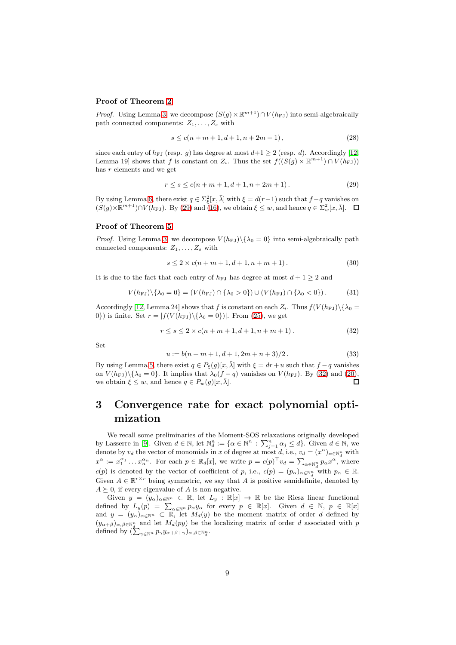#### Proof of Theorem [2](#page-4-1)

*Proof.* Using Lemma [3,](#page-6-5) we decompose  $(S(g) \times \mathbb{R}^{m+1}) \cap V(h_{FJ})$  into semi-algebraically path connected components:  $Z_1, \ldots, Z_s$  with

$$
s \le c(n+m+1, d+1, n+2m+1), \tag{28}
$$

since each entry of  $h_{\text{FJ}}$  (resp. g) has degree at most  $d+1 \geq 2$  (resp. d). Accordingly [\[12,](#page-20-3) Lemma 19] shows that f is constant on  $Z_i$ . Thus the set  $f((S(g) \times \mathbb{R}^{m+1}) \cap V(h_{FJ}))$ has r elements and we get

<span id="page-8-1"></span>
$$
r \le s \le c(n+m+1, d+1, n+2m+1). \tag{29}
$$

By using Lemma [6,](#page-7-4) there exist  $q \in \sum_{\xi}^2 [x, \overline{\lambda}]$  with  $\xi = d(r-1)$  such that  $f-q$  vanishes on  $(S(g) \times \mathbb{R}^{m+1}) \cap V(h_{FJ})$ . By [\(29\)](#page-8-1) and [\(16\)](#page-4-4), we obtain  $\xi \leq w$ , and hence  $q \in \Sigma_w^2[x, \bar{\lambda}]$ .

### Proof of Theorem [5](#page-5-1)

*Proof.* Using Lemma [3,](#page-6-5) we decompose  $V(h_{FJ})\backslash {\lambda_0 = 0}$  into semi-algebraically path connected components:  $Z_1, \ldots, Z_s$  with

<span id="page-8-3"></span>
$$
s \le 2 \times c(n+m+1, d+1, n+m+1). \tag{30}
$$

It is due to the fact that each entry of  $h_{FJ}$  has degree at most  $d+1 \geq 2$  and

$$
V(h_{FJ}) \setminus \{\lambda_0 = 0\} = (V(h_{FJ}) \cap \{\lambda_0 > 0\}) \cup (V(h_{FJ}) \cap \{\lambda_0 < 0\}).
$$
 (31)

Accordingly [\[12,](#page-20-3) Lemma 24] shows that f is constant on each  $Z_i$ . Thus  $f(V(h_{FJ})\setminus\{\lambda_0 =$ 0}) is finite. Set  $r = |f(V(h_{FJ})\setminus {\lambda_0 = 0})|$ . From [\(25\)](#page-7-2), we get

$$
r \le s \le 2 \times c(n+m+1, d+1, n+m+1). \tag{32}
$$

Set

<span id="page-8-2"></span>
$$
u := b(n+m+1, d+1, 2m+n+3)/2.
$$
 (33)

By using Lemma [5,](#page-7-5) there exist  $q \in P_{\xi}(q)[x, \bar{\lambda}]$  with  $\xi = dr + u$  such that  $f - q$  vanishes on  $V(h_{FJ})\backslash {\lambda_0 = 0}$ . It implies that  $\lambda_0(f - q)$  vanishes on  $V(h_{FJ})$ . By [\(32\)](#page-8-2) and [\(20\)](#page-5-2), we obtain  $\xi \leq w$ , and hence  $q \in P_w(q)[x, \overline{\lambda}]$ .  $\Box$ 

## <span id="page-8-0"></span>3 Convergence rate for exact polynomial optimization

We recall some preliminaries of the Moment-SOS relaxations originally developed by Lasserre in [\[9\]](#page-20-5). Given  $d \in \mathbb{N}$ , let  $\mathbb{N}_d^n := \{ \alpha \in \mathbb{N}^n : \sum_{j=1}^n \alpha_j \leq d \}$ . Given  $d \in \mathbb{N}$ , we denote by  $v_d$  the vector of monomials in x of degree at most d, i.e.,  $v_d = (x^{\alpha})_{\alpha \in \mathbb{N}_d^n}$  with  $x^{\alpha} := x_1^{\alpha_1} \dots x_n^{\alpha_n}$ . For each  $p \in \mathbb{R}_d[x]$ , we write  $p = c(p)^\top v_d = \sum_{\alpha \in \mathbb{N}_d^n} p_\alpha x^\alpha$ , where  $c(p)$  is denoted by the vector of coefficient of p, i.e.,  $c(p) = (p_{\alpha})_{\alpha \in \mathbb{N}_d^n}$  with  $p_{\alpha} \in \mathbb{R}$ . Given  $A \in \mathbb{R}^{r \times r}$  being symmetric, we say that A is positive semidefinite, denoted by  $A \succeq 0$ , if every eigenvalue of A is non-negative.

Given  $y = (y_\alpha)_{\alpha \in \mathbb{N}^n} \subset \mathbb{R}$ , let  $L_y : \mathbb{R}[x] \to \mathbb{R}$  be the Riesz linear functional defined by  $L_y(p) = \sum_{\alpha \in \mathbb{N}^n} p_{\alpha} y_{\alpha}$  for every  $p \in \mathbb{R}[x]$ . Given  $d \in \mathbb{N}$ ,  $p \in \mathbb{R}[x]$ . and  $y = (y_\alpha)_{\alpha \in \mathbb{N}^n} \subset \mathbb{R}$ , let  $M_d(y)$  be the moment matrix of order d defined by  $(y_{\alpha+\beta})_{\alpha,\beta\in\mathbb{N}^n_d}$  and let  $M_d(py)$  be the localizing matrix of order d associated with p defined by  $\left(\sum_{\gamma \in \mathbb{N}^n} p_{\gamma} y_{\alpha+\beta+\gamma}\right)_{\alpha,\beta \in \mathbb{N}_d^n}$ .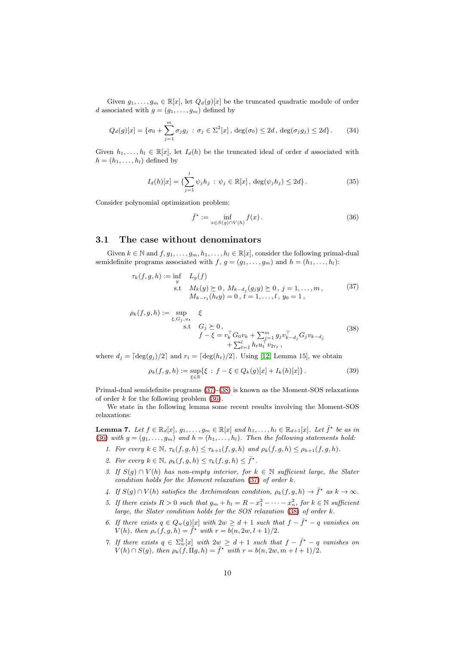Given  $g_1, \ldots, g_m \in \mathbb{R}[x]$ , let  $Q_d(g)[x]$  be the truncated quadratic module of order d associated with  $g = (g_1, \ldots, g_m)$  defined by

$$
Q_d(g)[x] = \{\sigma_0 + \sum_{j=1}^m \sigma_j g_j : \sigma_j \in \Sigma^2[x], \deg(\sigma_0) \le 2d, \deg(\sigma_j g_j) \le 2d\}.
$$
 (34)

Given  $h_1, \ldots, h_l \in \mathbb{R}[x]$ , let  $I_d(h)$  be the truncated ideal of order d associated with  $h = (h_1, \ldots, h_l)$  defined by

$$
I_d(h)[x] = \{ \sum_{j=1}^l \psi_j h_j \, : \, \psi_j \in \mathbb{R}[x], \, \deg(\psi_j h_j) \le 2d \}.
$$
 (35)

Consider polynomial optimization problem:

<span id="page-9-3"></span><span id="page-9-1"></span>
$$
\bar{f}^{\star} := \inf_{x \in S(g) \cap V(h)} f(x).
$$
\n(36)

### <span id="page-9-0"></span>3.1 The case without denominators

Given  $k \in \mathbb{N}$  and  $f, g_1, \ldots, g_m, h_1, \ldots, h_l \in \mathbb{R}[x]$ , consider the following primal-dual semidefinite programs associated with  $f, g = (g_1, \ldots, g_m)$  and  $h = (h_1, \ldots, h_l)$ :

$$
\tau_k(f, g, h) := \inf_{y} L_y(f)
$$
  
s.t  $M_k(y) \ge 0$ ,  $M_{k-d_j}(g_j y) \ge 0$ ,  $j = 1, ..., m$ ,  
 $M_{k-r_t}(h_t y) = 0$ ,  $t = 1, ..., l$ ,  $y_0 = 1$ , (37)

<span id="page-9-2"></span>
$$
\rho_k(f, g, h) := \sup_{\xi, G_j, u_t} \xi
$$
  
 s.t  $G_j \ge 0$ ,  

$$
f - \xi = v_k^{\top} G_0 v_k + \sum_{j=1}^m g_j v_{k-d_j}^{\top} G_j v_{k-d_j}
$$

$$
+ \sum_{t=1}^l h_t u_t^{\top} v_{2rt} ,
$$
\n(38)

where  $d_j = \lceil \deg(g_j)/2 \rceil$  and  $r_t = \lceil \deg(h_t)/2 \rceil$ . Using [\[12,](#page-20-3) Lemma 15], we obtain

<span id="page-9-4"></span>
$$
\rho_k(f, g, h) := \sup_{\xi \in \mathbb{R}} \{ \xi : f - \xi \in Q_k(g)[x] + I_k(h)[x] \}.
$$
 (39)

Primal-dual semidefinite programs [\(37\)](#page-9-1)-[\(38\)](#page-9-2) is known as the Moment-SOS relaxations of order  $k$  for the following problem  $(36)$ .

We state in the following lemma some recent results involving the Moment-SOS relaxations:

<span id="page-9-5"></span>**Lemma 7.** Let  $f \in \mathbb{R}_d[x]$ ,  $g_1, \ldots, g_m \in \mathbb{R}[x]$  and  $h_1, \ldots, h_l \in \mathbb{R}_{d+1}[x]$ . Let  $\bar{f}^{\star}$  be as in [\(36\)](#page-9-3) with  $g = (g_1, \ldots, g_m)$  and  $h = (h_1, \ldots, h_l)$ . Then the following statements hold:

- 1. For every  $k \in \mathbb{N}$ ,  $\tau_k(f, g, h) \leq \tau_{k+1}(f, g, h)$  and  $\rho_k(f, g, h) \leq \rho_{k+1}(f, g, h)$ .
- 2. For every  $k \in \mathbb{N}$ ,  $\rho_k(f, g, h) \leq \tau_k(f, g, h) \leq \overline{f}^{\star}$ .
- 3. If  $S(g) \cap V(h)$  has non-empty interior, for  $k \in \mathbb{N}$  sufficient large, the Slater condition holds for the Moment relaxation [\(37\)](#page-9-1) of order k.
- 4. If  $S(g) \cap V(h)$  satisfies the Archimedean condition,  $\rho_k(f,g,h) \to \bar{f}^*$  as  $k \to \infty$ .
- 5. If there exists  $R > 0$  such that  $g_m + h_l = R x_1^2 \cdots x_n^2$ , for  $k \in \mathbb{N}$  sufficient large, the Slater condition holds for the SOS relaxation [\(38\)](#page-9-2) of order k.
- 6. If there exists  $q \in Q_w(g)[x]$  with  $2w \geq d+1$  such that  $f \overline{f}^* q$  vanishes on  $V(h)$ , then  $\rho_r(f, g, h) = \overline{f}^{\star}$  with  $r = b(n, 2w, l + 1)/2$ .
- 7. If there exists  $q \in \sum_{w}^2 [x]$  with  $2w \geq d+1$  such that  $f \overline{f}^* q$  vanishes on  $V(h) \cap S(g)$ , then  $\rho_k(f, \Pi g, h) = \overline{f}^*$  with  $r = b(n, 2w, m + l + 1)/2$ .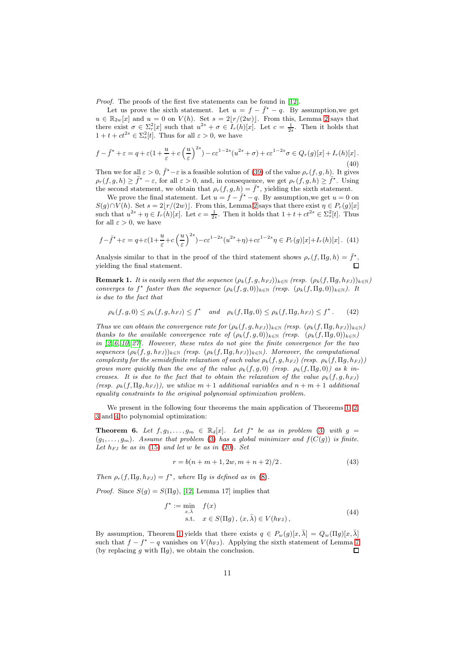Proof. The proofs of the first five statements can be found in [\[12\]](#page-20-3).

Let us prove the sixth statement. Let  $u = f - \bar{f}^* - q$ . By assumption, we get  $u \in \mathbb{R}_{2w}[x]$  and  $u = 0$  on  $V(h)$ . Set  $s = 2\lfloor r/(2w) \rfloor$  $s = 2\lfloor r/(2w) \rfloor$  $s = 2\lfloor r/(2w) \rfloor$ . From this, Lemma 2 says that there exist  $\sigma \in \sum_{i=1}^{n} [x]$  such that  $u^{2s} + \sigma \in I_r(h)[x]$ . Let  $c = \frac{1}{2s}$ . Then it holds that  $1 + t + ct^{2s} \in \Sigma_s^2[t]$ . Thus for all  $\varepsilon > 0$ , we have

$$
f - \bar{f}^* + \varepsilon = q + \varepsilon \left(1 + \frac{u}{\varepsilon} + c\left(\frac{u}{\varepsilon}\right)^{2s}\right) - c\varepsilon^{1-2s}(u^{2s} + \sigma) + c\varepsilon^{1-2s}\sigma \in Q_r(g)[x] + I_r(h)[x].\tag{40}
$$

Then we for all  $\varepsilon > 0$ ,  $\bar{f}^* - \varepsilon$  is a feasible solution of [\(39\)](#page-9-4) of the value  $\rho_r(f, g, h)$ . It gives  $\rho_r(f,g,h) \geq \bar{f}^* - \varepsilon$ , for all  $\varepsilon > 0$ , and, in consequence, we get  $\rho_r(f,g,h) \geq \bar{f}^*$ . Using the second statement, we obtain that  $\rho_r(f,g,h) = \bar{f}^*$ , yielding the sixth statement.

We prove the final statement. Let  $u = f - \overline{f}^* - q$ . By assumption, we get  $u = 0$  on  $S(g) \cap V(h)$ . Set  $s = 2\vert r/(2w) \vert$  $s = 2\vert r/(2w) \vert$  $s = 2\vert r/(2w) \vert$ . From this, Lemma 2 says that there exist  $\eta \in P_r(g)[x]$ such that  $u^{2s} + \eta \in I_r(h)[x]$ . Let  $c = \frac{1}{2s}$ . Then it holds that  $1 + t + ct^{2s} \in \Sigma_s^2[t]$ . Thus for all  $\varepsilon > 0$ , we have

$$
f - \bar{f}^{\star} + \varepsilon = q + \varepsilon \left( 1 + \frac{u}{\varepsilon} + c \left( \frac{u}{\varepsilon} \right)^{2s} \right) - c \varepsilon^{1 - 2s} (u^{2s} + \eta) + c \varepsilon^{1 - 2s} \eta \in P_r(g)[x] + I_r(h)[x]. \tag{41}
$$

Analysis similar to that in the proof of the third statement shows  $\rho_r(f, \Pi g, h) = \bar{f}^{\star}$ , yielding the final statement.

**Remark 1.** It is easily seen that the sequence  $(\rho_k(f, g, h_{FJ}))_{k \in \mathbb{N}}$  (resp.  $(\rho_k(f, \Pi g, h_{FJ}))_{k \in \mathbb{N}}$ ) converges to  $f^*$  faster than the sequence  $(\rho_k(f,g,0))_{k\in\mathbb{N}}$  (resp.  $(\rho_k(f,\Pi g,0))_{k\in\mathbb{N}}$ ). It is due to the fact that

$$
\rho_k(f,g,0) \le \rho_k(f,g,h_{FJ}) \le f^* \quad and \quad \rho_k(f,\Pi g,0) \le \rho_k(f,\Pi g,h_{FJ}) \le f^*.
$$
 (42)

Thus we can obtain the convergence rate for  $(\rho_k(f, g, h_{FJ}))_{k \in \mathbb{N}}$  (resp.  $(\rho_k(f, \Pi g, h_{FJ}))_{k \in \mathbb{N}}$ ) thanks to the available convergence rate of  $(\rho_k(f,g,0))_{k\in\mathbb{N}}$  (resp.  $(\rho_k(f,\Pi g,0))_{k\in\mathbb{N}}$ ) in  $[2, 6, 10, 27]$  $[2, 6, 10, 27]$  $[2, 6, 10, 27]$  $[2, 6, 10, 27]$ . However, these rates do not give the finite convergence for the two sequences  $(\rho_k(f, g, h_{FJ}))_{k \in \mathbb{N}}$  (resp.  $(\rho_k(f, \Pi g, h_{FJ}))_{k \in \mathbb{N}}$ ). Moreover, the computational complexity for the semidefinite relaxation of each value  $\rho_k(f, g, h_{FJ})$  (resp.  $\rho_k(f, \Pi g, h_{FJ})$ ) grows more quickly than the one of the value  $\rho_k(f,g,0)$  (resp.  $\rho_k(f,\Pi g,0)$ ) as k increases. It is due to the fact that to obtain the relaxation of the value  $\rho_k(f, g, h_{FJ})$ (resp.  $\rho_k(f, \Pi q, h_{FJ})$ ), we utilize  $m+1$  additional variables and  $n+m+1$  additional equality constraints to the original polynomial optimization problem.

We present in the following four theorems the main application of Theorems [1,](#page-3-0) [2,](#page-4-1) [3](#page-4-3) and [4](#page-5-0) to polynomial optimization:

<span id="page-10-0"></span>**Theorem 6.** Let  $f, g_1, \ldots, g_m \in \mathbb{R}_d[x]$ . Let  $f^*$  be as in problem [\(3\)](#page-2-0) with  $g =$  $(g_1, \ldots, g_m)$ . Assume that problem [\(3\)](#page-2-0) has a global minimizer and  $f(C(g))$  is finite. Let  $h_{FJ}$  be as in [\(15\)](#page-4-0) and let w be as in [\(20\)](#page-5-2). Set

<span id="page-10-2"></span><span id="page-10-1"></span>
$$
r = b(n + m + 1, 2w, m + n + 2)/2.
$$
 (43)

Then  $\rho_r(f, \Pi g, h_{FJ}) = f^*$ , where  $\Pi g$  is defined as in [\(8\)](#page-3-2).

*Proof.* Since  $S(q) = S(\Pi q)$ , [\[12,](#page-20-3) Lemma 17] implies that

$$
f^* := \min_{x,\bar{\lambda}} f(x)
$$
  
s.t.  $x \in S(\Pi g), (x, \bar{\lambda}) \in V(h_{FJ}),$  (44)

By assumption, Theorem [1](#page-3-0) yields that there exists  $q \in P_w(q)[x,\overline{\lambda}] = Q_w(\Pi q)[x,\overline{\lambda}]$ such that  $f - f^* - q$  vanishes on  $V(h_{FJ})$ . Applying the sixth statement of Lemma [7](#page-9-5) (by replacing q with  $\Pi q$ ), we obtain the conclusion.  $\Box$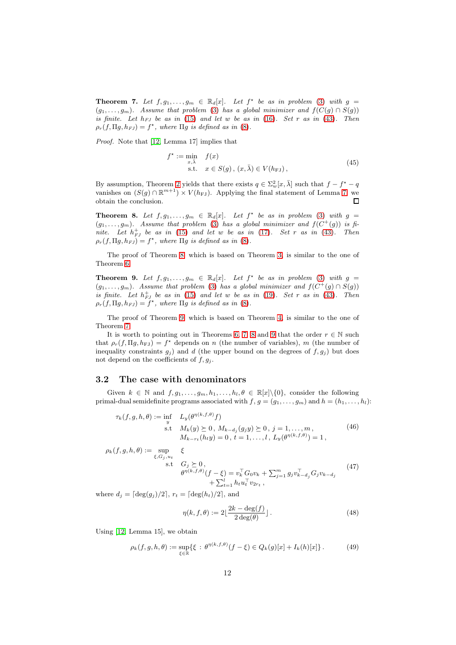<span id="page-11-1"></span>**Theorem 7.** Let  $f, g_1, \ldots, g_m \in \mathbb{R}_d[x]$ . Let  $f^*$  be as in problem [\(3\)](#page-2-0) with  $g =$  $(g_1, \ldots, g_m)$ . Assume that problem [\(3\)](#page-2-0) has a global minimizer and  $f(C(g) \cap S(g))$ is finite. Let  $h_{FJ}$  be as in [\(15\)](#page-4-0) and let w be as in [\(16\)](#page-4-4). Set r as in [\(43\)](#page-10-1). Then  $\rho_r(f, \Pi g, h_{FJ}) = f^*$ , where  $\Pi g$  is defined as in [\(8\)](#page-3-2).

Proof. Note that [\[12,](#page-20-3) Lemma 17] implies that

<span id="page-11-5"></span>
$$
f^* := \min_{x,\bar{\lambda}} f(x)
$$
  
s.t.  $x \in S(g), (x, \bar{\lambda}) \in V(h_{FJ}),$  (45)

By assumption, Theorem [2](#page-4-1) yields that there exists  $q \in \sum_{w=1}^2 [x, \bar{\lambda}]$  such that  $f - f^* - q$ vanishes on  $(S(g) \cap \mathbb{R}^{m+1}) \times V(h_{FJ})$ . Applying the final statement of Lemma [7,](#page-9-5) we obtain the conclusion.  $\Box$ 

<span id="page-11-2"></span>**Theorem 8.** Let  $f, g_1, \ldots, g_m \in \mathbb{R}_d[x]$ . Let  $f^*$  be as in problem [\(3\)](#page-2-0) with  $g =$  $(g_1, \ldots, g_m)$ . Assume that problem [\(3\)](#page-2-0) has a global minimizer and  $f(C^+(g))$  is finite. Let  $h_{FJ}^+$  be as in [\(15\)](#page-4-0) and let w be as in [\(17\)](#page-4-5). Set r as in [\(43\)](#page-10-1). Then  $\rho_r(f, \Pi g, h_{FJ}) = f^*$ , where  $\Pi g$  is defined as in [\(8\)](#page-3-2).

The proof of Theorem [8,](#page-11-2) which is based on Theorem [3,](#page-4-3) is similar to the one of Theorem [6.](#page-10-0)

<span id="page-11-3"></span>**Theorem 9.** Let  $f, g_1, \ldots, g_m \in \mathbb{R}_d[x]$ . Let  $f^*$  be as in problem [\(3\)](#page-2-0) with  $g =$  $(g_1, \ldots, g_m)$ . Assume that problem [\(3\)](#page-2-0) has a global minimizer and  $f(C^+(g) \cap S(g))$ is finite. Let  $h_{FJ}^+$  be as in [\(15\)](#page-4-0) and let w be as in [\(19\)](#page-5-3). Set r as in [\(43\)](#page-10-1). Then  $\rho_r(f, \Pi g, h_{FJ}) = f^*$ , where  $\Pi g$  is defined as in [\(8\)](#page-3-2).

The proof of Theorem [9,](#page-11-3) which is based on Theorem [4,](#page-5-0) is similar to the one of Theorem [7.](#page-11-1)

It is worth to pointing out in Theorems [6,](#page-10-0) [7,](#page-11-1) [8](#page-11-2) and [9](#page-11-3) that the order  $r \in \mathbb{N}$  such that  $\rho_r(f, \Pi g, h_{FJ}) = f^*$  depends on n (the number of variables), m (the number of inequality constraints  $g_j$ ) and d (the upper bound on the degrees of  $f, g_j$ ) but does not depend on the coefficients of  $f, g_j$ .

### <span id="page-11-0"></span>3.2 The case with denominators

Given  $k \in \mathbb{N}$  and  $f, g_1, \ldots, g_m, h_1, \ldots, h_l, \theta \in \mathbb{R}[x] \setminus \{0\}$ , consider the following primal-dual semidefinite programs associated with  $f, g = (g_1, \ldots, g_m)$  and  $h = (h_1, \ldots, h_l)$ :

$$
\tau_k(f, g, h, \theta) := \inf_{y} L_y(\theta^{\eta(k, f, \theta)} f)
$$
  
s.t  $M_k(y) \succeq 0$ ,  $M_{k-d_j}(g_j y) \succeq 0$ ,  $j = 1, ..., m$ ,  
 $M_{k-r_t}(h_t y) = 0$ ,  $t = 1, ..., l$ ,  $L_y(\theta^{\eta(k, f, \theta)}) = 1$ , (46)

$$
\rho_k(f, g, h, \theta) := \sup_{\xi, G_j, u_t} \xi
$$
  
s.t  $G_j \ge 0$ ,  

$$
\theta^{\eta(k, f, \theta)}(f - \xi) = v_k^{\top} G_0 v_k + \sum_{j=1}^m g_j v_{k-d_j}^{\top} G_j v_{k-d_j}
$$
(47)  

$$
+ \sum_{t=1}^l h_t u_t^{\top} v_{2r_t},
$$

where  $d_i = \lceil \deg(q_i)/2 \rceil$ ,  $r_t = \lceil \deg(h_t)/2 \rceil$ , and

<span id="page-11-4"></span>
$$
\eta(k, f, \theta) := 2\left[\frac{2k - \deg(f)}{2\deg(\theta)}\right].\tag{48}
$$

Using [\[12,](#page-20-3) Lemma 15], we obtain

$$
\rho_k(f, g, h, \theta) := \sup_{\xi \in \mathbb{R}} \{ \xi : \theta^{\eta(k, f, \theta)}(f - \xi) \in Q_k(g)[x] + I_k(h)[x] \}.
$$
 (49)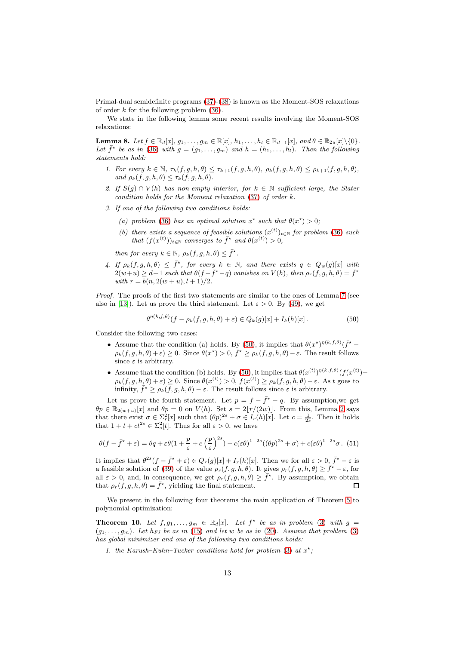Primal-dual semidefinite programs [\(37\)](#page-9-1)-[\(38\)](#page-9-2) is known as the Moment-SOS relaxations of order  $k$  for the following problem  $(36)$ .

We state in the following lemma some recent results involving the Moment-SOS relaxations:

<span id="page-12-2"></span>**Lemma 8.** Let  $f \in \mathbb{R}_d[x]$ ,  $g_1, \ldots, g_m \in \mathbb{R}[x]$ ,  $h_1, \ldots, h_l \in \mathbb{R}_{d+1}[x]$ , and  $\theta \in \mathbb{R}_{2u}[x] \setminus \{0\}$ . Let  $\bar{f}^{\star}$  be as in [\(36\)](#page-9-3) with  $g = (g_1, \ldots, g_m)$  and  $h = (h_1, \ldots, h_l)$ . Then the following statements hold:

- 1. For every  $k \in \mathbb{N}$ ,  $\tau_k(f, g, h, \theta) \leq \tau_{k+1}(f, g, h, \theta)$ ,  $\rho_k(f, g, h, \theta) \leq \rho_{k+1}(f, g, h, \theta)$ , and  $\rho_k(f, g, h, \theta) \leq \tau_k(f, g, h, \theta)$ .
- 2. If  $S(g) \cap V(h)$  has non-empty interior, for  $k \in \mathbb{N}$  sufficient large, the Slater condition holds for the Moment relaxation [\(37\)](#page-9-1) of order k.
- 3. If one of the following two conditions holds:
	- (a) problem [\(36\)](#page-9-3) has an optimal solution  $x^*$  such that  $\theta(x^*) > 0$ ;
	- (b) there exists a sequence of feasible solutions  $(x^{(t)})_{t\in\mathbb{N}}$  for problem [\(36\)](#page-9-3) such that  $(f(x^{(t)}))_{t \in \mathbb{N}}$  converges to  $\bar{f}^*$  and  $\theta(x^{(t)}) > 0$ ,

then for every  $k \in \mathbb{N}$ ,  $\rho_k(f, g, h, \theta) \leq \bar{f}^*$ .

4. If  $\rho_k(f, g, h, \theta) \leq \overline{f}^{\star}$ , for every  $k \in \mathbb{N}$ , and there exists  $q \in Q_w(g)[x]$  with  $2(w+u) \geq d+1$  such that  $\theta(f-\bar{f}^* - q)$  vanishes on  $V(h)$ , then  $\rho_r(f, g, h, \theta) = \bar{f}^*$ with  $r = b(n, 2(w+u), l+1)/2$ .

Proof. The proofs of the first two statements are similar to the ones of Lemma [7](#page-9-5) (see also in [\[13\]](#page-20-17)). Let us prove the third statement. Let  $\varepsilon > 0$ . By [\(49\)](#page-11-4), we get

<span id="page-12-1"></span>
$$
\theta^{\eta(k,f,\theta)}(f-\rho_k(f,g,h,\theta)+\varepsilon)\in Q_k(g)[x]+I_k(h)[x].\tag{50}
$$

Consider the following two cases:

- Assume that the condition (a) holds. By [\(50\)](#page-12-1), it implies that  $\theta(x^*)^{\eta(k,f,\theta)}(\bar{f}^*$  $\rho_k(f, g, h, \theta) + \varepsilon$ )  $\geq 0$ . Since  $\theta(x^*) > 0$ ,  $\bar{f}^* \geq \rho_k(f, g, h, \theta) - \varepsilon$ . The result follows since  $\varepsilon$  is arbitrary.
- Assume that the condition (b) holds. By [\(50\)](#page-12-1), it implies that  $\theta(x^{(t)})^{\eta(k,f,\theta)}(f(x^{(t)}) \rho_k(f,g,h,\theta)+\varepsilon \geq 0$ . Since  $\theta(x^{(t)}) > 0$ ,  $f(x^{(t)}) \geq \rho_k(f,g,h,\theta)-\varepsilon$ . As t goes to infinity,  $\bar{f}^{\star} \ge \rho_k(f, g, h, \theta) - \varepsilon$ . The result follows since  $\varepsilon$  is arbitrary.

Let us prove the fourth statement. Let  $p = f - \bar{f}^* - q$ . By assumption, we get  $\theta p \in \mathbb{R}_{2(w+u)}[x]$  and  $\theta p = 0$  on  $V(h)$ . Set  $s = 2\lfloor r/(2w) \rfloor$  $s = 2\lfloor r/(2w) \rfloor$  $s = 2\lfloor r/(2w) \rfloor$ . From this, Lemma 2 says that there exist  $\sigma \in \sum_{r=1}^{\infty} [x]$  such that  $(\theta p)^{2s} + \sigma \in I_r(h)[x]$ . Let  $c = \frac{1}{2s}$ . Then it holds that  $1 + t + ct^{2s} \in \Sigma_s^2[t]$ . Thus for all  $\varepsilon > 0$ , we have

$$
\theta(f - \bar{f}^* + \varepsilon) = \theta q + \varepsilon \theta (1 + \frac{p}{\varepsilon} + c \left(\frac{p}{\varepsilon}\right)^{2s}) - c(\varepsilon \theta)^{1-2s} ((\theta p)^{2s} + \sigma) + c(\varepsilon \theta)^{1-2s} \sigma. \tag{51}
$$

It implies that  $\theta^{2s}(f - \bar{f}^* + \varepsilon) \in Q_r(g)[x] + I_r(h)[x]$ . Then we for all  $\varepsilon > 0$ ,  $\bar{f}^* - \varepsilon$  is a feasible solution of [\(39\)](#page-9-4) of the value  $\rho_r(f, g, h, \theta)$ . It gives  $\rho_r(f, g, h, \theta) \geq \overline{f^*} - \varepsilon$ , for all  $\varepsilon > 0$ , and, in consequence, we get  $\rho_r(f, g, h, \theta) \geq \overline{f}^*$ . By assumption, we obtain that  $\rho_r(f, g, h, \theta) = \bar{f}^{\star}$ , yielding the final statement.  $\Box$ 

We present in the following four theorems the main application of Theorem [5](#page-5-1) to polynomial optimization:

<span id="page-12-0"></span>**Theorem 10.** Let  $f, g_1, \ldots, g_m \in \mathbb{R}_d[x]$ . Let  $f^*$  be as in problem [\(3\)](#page-2-0) with  $g =$  $(g_1, \ldots, g_m)$ . Let  $h_{FJ}$  be as in [\(15\)](#page-4-0) and let w be as in [\(20\)](#page-5-2). Assume that problem [\(3\)](#page-2-0) has global minimizer and one of the following two conditions holds:

1. the Karush-Kuhn-Tucker conditions hold for problem [\(3\)](#page-2-0) at  $x^*$ ;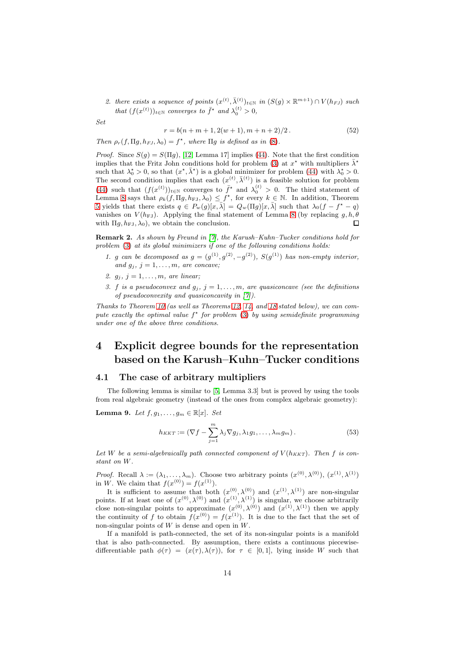2. there exists a sequence of points  $(x^{(t)}, \bar{\lambda}_{(t)}^{(t)})_{t \in \mathbb{N}}$  in  $(S(g) \times \mathbb{R}^{m+1}) \cap V(h_{FJ})$  such that  $(f(x^{(t)}))_{t \in \mathbb{N}}$  converges to  $\bar{f}^*$  and  $\lambda_0^{(t)} > 0$ ,

Set

$$
r = b(n + m + 1, 2(w + 1), m + n + 2)/2.
$$
 (52)

Then  $\rho_r(f, \Pi g, h_{FJ}, \lambda_0) = f^*$ , where  $\Pi g$  is defined as in [\(8\)](#page-3-2).

*Proof.* Since  $S(g) = S(\Pi g)$ , [\[12,](#page-20-3) Lemma 17] implies [\(44\)](#page-10-2). Note that the first condition implies that the Fritz John conditions hold for problem [\(3\)](#page-2-0) at  $x^*$  with multipliers  $\bar{\lambda}^*$ such that  $\lambda_0^* > 0$ , so that  $(x^*, \bar{\lambda}^*)$  is a global minimizer for problem [\(44\)](#page-10-2) with  $\lambda_0^* > 0$ . The second condition implies that each  $(x^{(t)}, \bar{\lambda}^{(t)})$  is a feasible solution for problem [\(44\)](#page-10-2) such that  $(f(x^{(t)}))_{t\in\mathbb{N}}$  converges to  $\bar{f}^*$  and  $\lambda_0^{(t)} > 0$ . The third statement of Lemma [8](#page-12-2) says that  $\rho_k(f, \Pi g, h_{FJ}, \lambda_0) \leq f^*$ , for every  $k \in \mathbb{N}$ . In addition, Theorem [5](#page-5-1) yields that there exists  $q \in P_w(g)[x, \bar{\lambda}] = Q_w(\Pi g)[x, \bar{\lambda}]$  such that  $\lambda_0(f - f^* - q)$ vanishes on  $V(h_{\text{FJ}})$ . Applying the final statement of Lemma [8](#page-12-2) (by replacing g, h,  $\theta$ with  $\Pi g, h_{FJ}, \lambda_0$ , we obtain the conclusion.  $\Box$ 

Remark 2. As shown by Freund in [\[7\]](#page-20-18), the Karush–Kuhn–Tucker conditions hold for problem [\(3\)](#page-2-0) at its global minimizers if one of the following conditions holds:

- 1. g can be decomposed as  $g = (g^{(1)}, g^{(2)}, -g^{(2)}), S(g^{(1)})$  has non-empty interior, and  $g_i$ ,  $j = 1, \ldots, m$ , are concave;
- 2.  $g_j$ ,  $j = 1, \ldots, m$ , are linear;
- 3. f is a pseudoconvex and  $g_j$ ,  $j = 1, \ldots, m$ , are quasiconcave (see the definitions of pseudoconvexity and quasiconcavity in [\[7\]](#page-20-18)).

Thanks to Theorem [10](#page-12-0) (as well as Theorems [12,](#page-14-0) [14,](#page-15-1) and [18](#page-19-1) stated below), we can compute exactly the optimal value  $f^*$  for problem [\(3\)](#page-2-0) by using semidefinite programming under one of the above three conditions.

## <span id="page-13-0"></span>4 Explicit degree bounds for the representation based on the Karush–Kuhn–Tucker conditions

### <span id="page-13-1"></span>4.1 The case of arbitrary multipliers

The following lemma is similar to [\[5,](#page-20-14) Lemma 3.3] but is proved by using the tools from real algebraic geometry (instead of the ones from complex algebraic geometry):

<span id="page-13-3"></span>**Lemma 9.** Let  $f, g_1, \ldots, g_m \in \mathbb{R}[x]$ . Set

<span id="page-13-2"></span>
$$
h_{KKT} := (\nabla f - \sum_{j=1}^{m} \lambda_j \nabla g_j, \lambda_1 g_1, \dots, \lambda_m g_m).
$$
 (53)

Let W be a semi-algebraically path connected component of  $V(h_{KKT})$ . Then f is constant on W.

*Proof.* Recall  $\lambda := (\lambda_1, \ldots, \lambda_m)$ . Choose two arbitrary points  $(x^{(0)}, \lambda^{(0)})$ ,  $(x^{(1)}, \lambda^{(1)})$ in W. We claim that  $f(x^{(0)}) = f(x^{(1)})$ .

It is sufficient to assume that both  $(x^{(0)}, \lambda^{(0)})$  and  $(x^{(1)}, \lambda^{(1)})$  are non-singular points. If at least one of  $(x^{(0)}, \lambda^{(0)})$  and  $(x^{(1)}, \lambda^{(1)})$  is singular, we choose arbitrarily close non-singular points to approximate  $(x^{(0)}, \lambda^{(0)})$  and  $(x^{(1)}, \lambda^{(1)})$  then we apply the continuity of f to obtain  $f(x^{(0)}) = f(x^{(1)})$ . It is due to the fact that the set of non-singular points of  $W$  is dense and open in  $W$ .

If a manifold is path-connected, the set of its non-singular points is a manifold that is also path-connected. By assumption, there exists a continuous piecewisedifferentiable path  $\phi(\tau) = (x(\tau), \lambda(\tau))$ , for  $\tau \in [0, 1]$ , lying inside W such that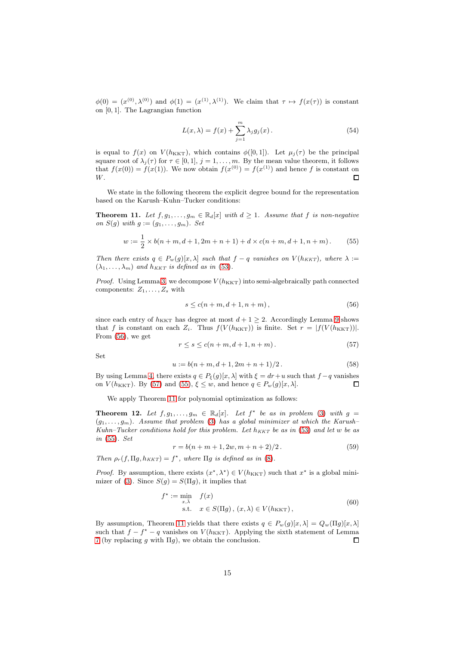$\phi(0) = (x^{(0)}, \lambda^{(0)})$  and  $\phi(1) = (x^{(1)}, \lambda^{(1)})$ . We claim that  $\tau \mapsto f(x(\tau))$  is constant on [0, 1]. The Lagrangian function

$$
L(x,\lambda) = f(x) + \sum_{j=1}^{m} \lambda_j g_j(x).
$$
 (54)

is equal to  $f(x)$  on  $V(h_{\text{KKT}})$ , which contains  $\phi([0,1])$ . Let  $\mu_i(\tau)$  be the principal square root of  $\lambda_j(\tau)$  for  $\tau \in [0,1], j = 1, \ldots, m$ . By the mean value theorem, it follows that  $f(x(0)) = f(x(1))$ . We now obtain  $f(x^{(0)}) = f(x^{(1)})$  and hence f is constant on W.  $\Box$ 

We state in the following theorem the explicit degree bound for the representation based on the Karush–Kuhn–Tucker conditions:

<span id="page-14-4"></span>**Theorem 11.** Let  $f, g_1, \ldots, g_m \in \mathbb{R}_d[x]$  with  $d \geq 1$ . Assume that f is non-negative on  $S(g)$  with  $g := (g_1, \ldots, g_m)$ . Set

$$
w := \frac{1}{2} \times b(n+m, d+1, 2m+n+1) + d \times c(n+m, d+1, n+m).
$$
 (55)

Then there exists  $q \in P_w(g)[x, \lambda]$  such that  $f - q$  vanishes on  $V(h_{KKT})$ , where  $\lambda :=$  $(\lambda_1, \ldots, \lambda_m)$  and  $h_{KKT}$  is defined as in [\(53\)](#page-13-2).

*Proof.* Using Lemma [3,](#page-6-5) we decompose  $V(h_{\text{KKT}})$  into semi-algebraically path connected components:  $Z_1, \ldots, Z_s$  with

<span id="page-14-3"></span><span id="page-14-1"></span>
$$
s \le c(n+m, d+1, n+m), \tag{56}
$$

since each entry of  $h_{KKT}$  has degree at most  $d+1 \geq 2$ . Accordingly Lemma [9](#page-13-3) shows that f is constant on each  $Z_i$ . Thus  $f(V(h_{\text{KKT}}))$  is finite. Set  $r = |f(V(h_{\text{KKT}}))|$ . From [\(56\)](#page-14-1), we get

<span id="page-14-2"></span>
$$
r \le s \le c(n+m, d+1, n+m). \tag{57}
$$

Set

$$
u := b(n+m, d+1, 2m+n+1)/2.
$$
 (58)

By using Lemma [4,](#page-6-3) there exists  $q \in P_{\epsilon}(q)[x,\lambda]$  with  $\xi = dr + u$  such that  $f - q$  vanishes on  $V(h_{\text{KKT}})$ . By [\(57\)](#page-14-2) and [\(55\)](#page-14-3),  $\xi \leq w$ , and hence  $q \in P_w(g)[x, \lambda]$ .  $\Box$ 

We apply Theorem [11](#page-14-4) for polynomial optimization as follows:

<span id="page-14-0"></span>**Theorem 12.** Let  $f, g_1, \ldots, g_m \in \mathbb{R}_d[x]$ . Let  $f^*$  be as in problem [\(3\)](#page-2-0) with  $g =$  $(g_1, \ldots, g_m)$ . Assume that problem [\(3\)](#page-2-0) has a global minimizer at which the Karush– Kuhn–Tucker conditions hold for this problem. Let  $h_{KKT}$  be as in [\(53\)](#page-13-2) and let w be as in [\(55\)](#page-14-3). Set

$$
r = b(n + m + 1, 2w, m + n + 2)/2.
$$
 (59)

Then  $\rho_r(f, \Pi g, h_{KKT}) = f^*$ , where  $\Pi g$  is defined as in [\(8\)](#page-3-2).

*Proof.* By assumption, there exists  $(x^*, \lambda^*) \in V(h_{\text{KKT}})$  such that  $x^*$  is a global mini-mizer of [\(3\)](#page-2-0). Since  $S(g) = S(\Pi g)$ , it implies that

$$
f^* := \min_{x,\bar{\lambda}} f(x)
$$
  
s.t.  $x \in S(\Pi g), (x,\lambda) \in V(h_{\text{KKT}}),$  (60)

By assumption, Theorem [11](#page-14-4) yields that there exists  $q \in P_w(g)[x, \lambda] = Q_w(\Pi g)[x, \lambda]$ such that  $f - f^* - q$  vanishes on  $V(h_{\text{KKT}})$ . Applying the sixth statement of Lemma [7](#page-9-5) (by replacing  $g$  with  $\Pi g$ ), we obtain the conclusion.  $\Box$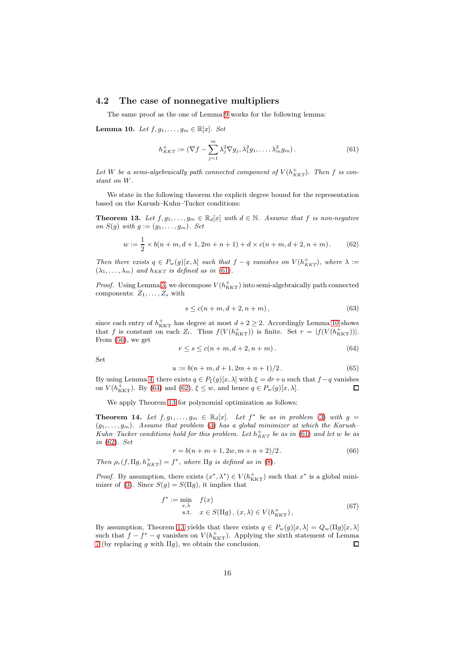### <span id="page-15-0"></span>4.2 The case of nonnegative multipliers

The same proof as the one of Lemma [9](#page-13-3) works for the following lemma:

<span id="page-15-3"></span>Lemma 10. Let  $f, g_1, \ldots, g_m \in \mathbb{R}[x]$ . Set

<span id="page-15-2"></span>
$$
h_{KKT}^+ := (\nabla f - \sum_{j=1}^m \lambda_j^2 \nabla g_j, \lambda_1^2 g_1, \dots, \lambda_m^2 g_m).
$$
 (61)

Let W be a semi-algebraically path connected component of  $V(h_{KKT}^+)$ . Then f is constant on W.

We state in the following theorem the explicit degree bound for the representation based on the Karush–Kuhn–Tucker conditions:

<span id="page-15-6"></span>**Theorem 13.** Let  $f, g_1, \ldots, g_m \in \mathbb{R}_d[x]$  with  $d \in \mathbb{N}$ . Assume that f is non-negative on  $S(g)$  with  $g := (g_1, \ldots, g_m)$ . Set

<span id="page-15-5"></span>
$$
w := \frac{1}{2} \times b(n+m, d+1, 2m+n+1) + d \times c(n+m, d+2, n+m).
$$
 (62)

Then there exists  $q \in P_w(g)[x, \lambda]$  such that  $f - q$  vanishes on  $V(h_{KKT}^+)$ , where  $\lambda :=$  $(\lambda_1, \ldots, \lambda_m)$  and  $h_{KKT}$  is defined as in [\(61\)](#page-15-2).

*Proof.* Using Lemma [3,](#page-6-5) we decompose  $V(h_{\text{KKT}}^+)$  into semi-algebraically path connected components:  $Z_1, \ldots, Z_s$  with

$$
s \le c(n+m, d+2, n+m), \tag{63}
$$

since each entry of  $h_{\text{KKT}}^+$  has degree at most  $d+2\geq 2$ . Accordingly Lemma [10](#page-15-3) shows that f is constant on each  $Z_i$ . Thus  $f(V(h_{\text{KKT}}^+))$  is finite. Set  $r = |f(V(h_{\text{KKT}}^+))|$ . From [\(56\)](#page-14-1), we get

<span id="page-15-4"></span>
$$
r \le s \le c(n+m, d+2, n+m). \tag{64}
$$

Set

$$
u := b(n+m, d+1, 2m+n+1)/2.
$$
 (65)

By using Lemma [4,](#page-6-3) there exists  $q \in P_{\xi}(g)[x,\lambda]$  with  $\xi = dr + u$  such that  $f - q$  vanishes on  $V(h_{\text{KKT}}^+)$ . By [\(64\)](#page-15-4) and [\(62\)](#page-15-5),  $\xi \leq w$ , and hence  $q \in P_w(g)[x, \lambda]$ . П

We apply Theorem [13](#page-15-6) for polynomial optimization as follows:

<span id="page-15-1"></span>**Theorem 14.** Let  $f, g_1, \ldots, g_m \in \mathbb{R}_d[x]$ . Let  $f^*$  be as in problem [\(3\)](#page-2-0) with  $g =$  $(g_1, \ldots, g_m)$ . Assume that problem [\(3\)](#page-2-0) has a global minimizer at which the Karush– Kuhn–Tucker conditions hold for this problem. Let  $h_{KKT}^+$  be as in [\(61\)](#page-15-2) and let w be as in [\(62\)](#page-15-5). Set

$$
r = b(n + m + 1, 2w, m + n + 2)/2.
$$
 (66)

Then  $\rho_r(f, \Pi g, h_{KKT}^+) = f^*$ , where  $\Pi g$  is defined as in [\(8\)](#page-3-2).

*Proof.* By assumption, there exists  $(x^*, \lambda^*) \in V(h_{\text{KKT}}^+)$  such that  $x^*$  is a global mini-mizer of [\(3\)](#page-2-0). Since  $S(g) = S(\Pi g)$ , it implies that

$$
f^* := \min_{x,\bar{\lambda}} f(x)
$$
  
s.t.  $x \in S(\Pi g), (x,\lambda) \in V(h_{\text{KKT}}^+),$  (67)

By assumption, Theorem [13](#page-15-6) yields that there exists  $q \in P_w(g)[x, \lambda] = Q_w(\Pi g)[x, \lambda]$ such that  $f - f^* - q$  vanishes on  $V(h_{\text{KKT}}^+)$ . Applying the sixth statement of Lemma [7](#page-9-5) (by replacing g with  $\Pi$ g), we obtain the conclusion.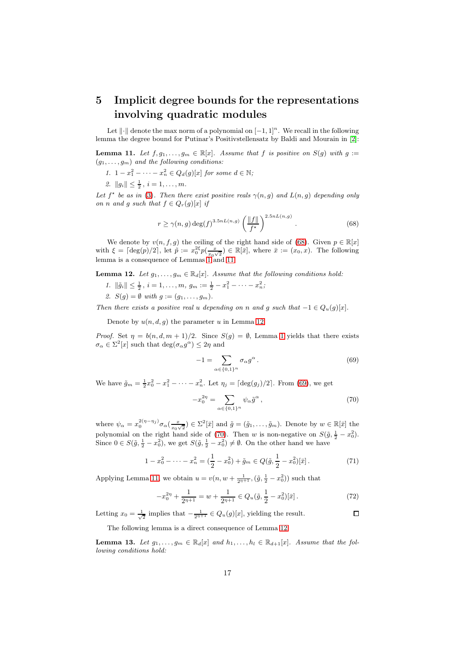## <span id="page-16-0"></span>5 Implicit degree bounds for the representations involving quadratic modules

Let  $\|\cdot\|$  denote the max norm of a polynomial on  $[-1, 1]^n$ . We recall in the following lemma the degree bound for Putinar's Positivstellensatz by Baldi and Mourain in [\[2\]](#page-20-7):

<span id="page-16-2"></span>**Lemma 11.** Let  $f, g_1, \ldots, g_m \in \mathbb{R}[x]$ . Assume that f is positive on  $S(g)$  with  $g :=$  $(g_1, \ldots, g_m)$  and the following conditions:

- 1.  $1-x_1^2-\cdots-x_n^2 \in Q_d(g)[x]$  for some  $d \in \mathbb{N}$ ;
- 2.  $||g_i|| \leq \frac{1}{2}$ ,  $i = 1, ..., m$ .

Let  $f^*$  be as in [\(3\)](#page-2-0). Then there exist positive reals  $\gamma(n, g)$  and  $L(n, g)$  depending only on n and g such that  $f \in Q_r(g)[x]$  if

<span id="page-16-1"></span>
$$
r \ge \gamma(n,g) \deg(f)^{3.5nL(n,g)} \left(\frac{\|f\|}{f^\star}\right)^{2.5nL(n,g)}.
$$
\n(68)

We denote by  $v(n, f, g)$  the ceiling of the right hand side of [\(68\)](#page-16-1). Given  $p \in \mathbb{R}[x]$ with  $\xi = \lceil \deg(p)/2 \rceil$ , let  $\tilde{p} := x_0^{2\xi} p(\frac{x}{x_0 \sqrt{2}}) \in \mathbb{R}[\bar{x}]$ , where  $\bar{x} := (x_0, x)$ . The following lemma is a consequence of Lemmas  $1^{\circ}$  and [1](#page-6-2)1:

<span id="page-16-3"></span>**Lemma 12.** Let  $g_1, \ldots, g_m \in \mathbb{R}_d[x]$ . Assume that the following conditions hold:

- 1.  $\|\tilde{g}_i\| \leq \frac{1}{2}, i = 1, \ldots, m, g_m := \frac{1}{2} x_1^2 \cdots x_n^2;$
- 2.  $S(g) = \emptyset$  with  $g := (g_1, ..., g_m)$ .

Then there exists a positive real u depending on n and g such that  $-1 \in Q_u(g)[x]$ .

Denote by  $u(n, d, g)$  the parameter u in Lemma [12.](#page-16-3)

Proof. Set  $\eta = b(n, d, m + 1)/2$  $\eta = b(n, d, m + 1)/2$  $\eta = b(n, d, m + 1)/2$ . Since  $S(g) = \emptyset$ , Lemma 1 yields that there exists  $\sigma_{\alpha} \in \Sigma^2[x]$  such that  $\deg(\sigma_{\alpha} g^{\alpha}) \leq 2\eta$  and

<span id="page-16-5"></span><span id="page-16-4"></span>
$$
-1 = \sum_{\alpha \in \{0,1\}^n} \sigma_{\alpha} g^{\alpha}.
$$
 (69)

We have  $\tilde{g}_m = \frac{1}{2}x_0^2 - x_1^2 - \cdots - x_n^2$ . Let  $\eta_j = \lceil \deg(g_j)/2 \rceil$ . From [\(69\)](#page-16-4), we get

$$
-x_0^{2\eta} = \sum_{\alpha \in \{0,1\}^n} \psi_\alpha \tilde{g}^\alpha ,\qquad(70)
$$

where  $\psi_{\alpha} = x_0^{2(\eta - \eta_j)} \sigma_{\alpha}(\frac{x}{x_0 \sqrt{2}}) \in \Sigma^2[\bar{x}]$  and  $\tilde{g} = (\tilde{g}_1, \dots, \tilde{g}_m)$ . Denote by  $w \in \mathbb{R}[\bar{x}]$  the polynomial on the right hand side of [\(70\)](#page-16-5). Then w is non-negative on  $S(\tilde{g}, \frac{1}{2} - x_0^2)$ . Since  $0 \in S(\tilde{g}, \frac{1}{2} - x_0^2)$ , we get  $S(\tilde{g}, \frac{1}{2} - x_0^2) \neq \emptyset$ . On the other hand we have

$$
1 - x_0^2 - \dots - x_n^2 = \left(\frac{1}{2} - x_0^2\right) + \tilde{g}_m \in Q(\tilde{g}, \frac{1}{2} - x_0^2)[\bar{x}].\tag{71}
$$

Applying Lemma [11,](#page-16-2) we obtain  $u = v(n, w + \frac{1}{2n+1}, (\tilde{g}, \frac{1}{2} - x_0^2))$  such that

$$
-x_0^{2\eta} + \frac{1}{2^{\eta+1}} = w + \frac{1}{2^{\eta+1}} \in Q_u(\tilde{g}, \frac{1}{2} - x_0^2)[\bar{x}].
$$
 (72)

Letting  $x_0 = \frac{1}{\sqrt{2}}$  implies that  $-\frac{1}{2^{n+1}} \in Q_u(g)[x]$ , yielding the result.  $\Box$ 

The following lemma is a direct consequence of Lemma [12:](#page-16-3)

<span id="page-16-6"></span>**Lemma 13.** Let  $g_1, \ldots, g_m \in \mathbb{R}_d[x]$  and  $h_1, \ldots, h_l \in \mathbb{R}_{d+1}[x]$ . Assume that the following conditions hold: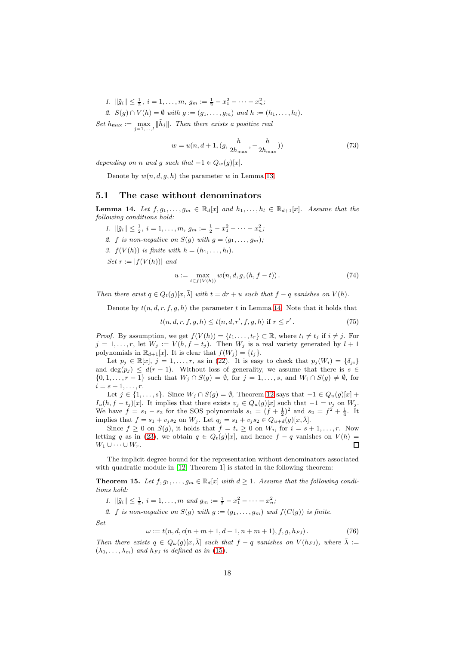1.  $\|\tilde{g}_i\| \leq \frac{1}{2}, i = 1, \ldots, m, g_m := \frac{1}{2} - x_1^2 - \cdots - x_n^2;$ 

2.  $S(g) \cap V(h) = \emptyset$  with  $g := (g_1, \ldots, g_m)$  and  $h := (h_1, \ldots, h_l)$ . Set  $h_{\text{max}} := \max_{j=1,\dots,l} ||\tilde{h}_j||$ . Then there exists a positive real

$$
w = u(n, d+1, (g, \frac{h}{2h_{\max}}, -\frac{h}{2h_{\max}}))
$$
\n(73)

depending on n and g such that  $-1 \in Q_w(g)[x]$ .

Denote by  $w(n, d, g, h)$  the parameter w in Lemma [13.](#page-16-6)

### <span id="page-17-0"></span>5.1 The case without denominators

<span id="page-17-2"></span>**Lemma 14.** Let  $f, g_1, \ldots, g_m \in \mathbb{R}_d[x]$  and  $h_1, \ldots, h_l \in \mathbb{R}_{d+1}[x]$ . Assume that the following conditions hold:

- 1.  $\|\tilde{g}_i\| \leq \frac{1}{2}, i = 1, \ldots, m, g_m := \frac{1}{2} x_1^2 \cdots x_n^2;$
- 2. f is non-negative on  $S(q)$  with  $q = (q_1, \ldots, q_m);$
- 3.  $f(V(h))$  is finite with  $h = (h_1, \ldots, h_l)$ .

Set  $r := |f(V(h))|$  and

<span id="page-17-3"></span>
$$
u := \max_{t \in f(V(h))} w(n, d, g, (h, f - t)).
$$
\n(74)

Then there exist  $q \in Q_t(q)[x, \bar{\lambda}]$  with  $t = dr + u$  such that  $f - q$  vanishes on  $V(h)$ .

Denote by  $t(n, d, r, f, g, h)$  the parameter t in Lemma [14.](#page-17-2) Note that it holds that

$$
t(n, d, r, f, g, h) \le t(n, d, r', f, g, h) \text{ if } r \le r'.
$$
 (75)

*Proof.* By assumption, we get  $f(V(h)) = \{t_1, \ldots, t_r\} \subset \mathbb{R}$ , where  $t_i \neq t_j$  if  $i \neq j$ . For  $j = 1, \ldots, r$ , let  $W_j := V(h, f - t_j)$ . Then  $W_j$  is a real variety generated by  $l + 1$ polynomials in  $\mathbb{R}_{d+1}[x]$ . It is clear that  $f(W_j) = \{t_j\}.$ 

Let  $p_j \in \mathbb{R}[x], j = 1, \ldots, r$ , as in [\(22\)](#page-6-4). It is easy to check that  $p_j(W_i) = \{\delta_{ji}\}\$ and  $\deg(p_i) \leq d(r-1)$ . Without loss of generality, we assume that there is  $s \in$  $\{0, 1, \ldots, r-1\}$  such that  $W_j \cap S(g) = \emptyset$ , for  $j = 1, \ldots, s$ , and  $W_i \cap S(g) \neq \emptyset$ , for  $i = s + 1, \ldots, r$ .

Let  $j \in \{1, \ldots, s\}$ . Since  $W_j \cap S(g) = \emptyset$ , Theorem [12](#page-16-3) says that  $-1 \in Q_u(g)[x]$  +  $I_u(h, f - t_j)[x]$ . It implies that there exists  $v_j \in Q_u(g)[x]$  such that  $-1 = v_j$  on  $W_j$ . We have  $f = s_1 - s_2$  for the SOS polynomials  $s_1 = (f + \frac{1}{2})^2$  and  $s_2 = f^2 + \frac{1}{4}$ . It implies that  $f = s_1 + v_j s_2$  on  $W_j$ . Let  $q_j = s_1 + v_j s_2 \in Q_{u+i}(g)[x, \bar{\lambda}]$ .

Since  $f \geq 0$  on  $S(g)$ , it holds that  $f = t_i \geq 0$  on  $W_i$ , for  $i = s + 1, \ldots, r$ . Now letting q as in [\(23\)](#page-7-1), we obtain  $q \in Q_t(g)[x]$ , and hence  $f - q$  vanishes on  $V(h) =$  $W_1 \cup \cdots \cup W_r$ .  $\Box$ 

The implicit degree bound for the representation without denominators associated with quadratic module in [\[12,](#page-20-3) Theorem 1] is stated in the following theorem:

<span id="page-17-1"></span>**Theorem 15.** Let  $f, g_1, \ldots, g_m \in \mathbb{R}_d[x]$  with  $d \geq 1$ . Assume that the following conditions hold:

1.  $\|\tilde{g}_i\| \leq \frac{1}{2}, i = 1, \ldots, m \text{ and } g_m := \frac{1}{2} - x_1^2 - \cdots - x_n^2;$ 

2. f is non-negative on  $S(g)$  with  $g := (g_1, \ldots, g_m)$  and  $f(C(g))$  is finite.

<span id="page-17-4"></span>Set

$$
\omega := t(n, d, c(n+m+1, d+1, n+m+1), f, g, h_{FJ}).
$$
\n(76)

Then there exists  $q \in Q_{\omega}(g)[x,\bar{\lambda}]$  such that  $f - q$  vanishes on  $V(h_{FJ})$ , where  $\bar{\lambda} :=$  $(\lambda_0, \ldots, \lambda_m)$  and  $h_{FJ}$  is defined as in [\(15\)](#page-4-0).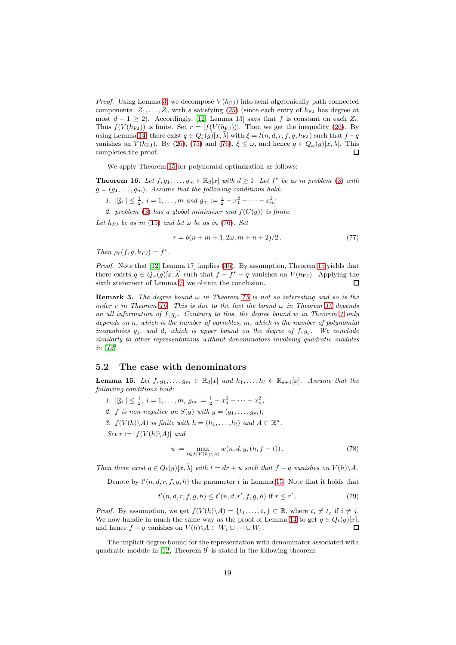*Proof.* Using Lemma [3,](#page-6-5) we decompose  $V(h_F)$  into semi-algebraically path connected components:  $Z_1, \ldots, Z_s$  with s satisfying [\(25\)](#page-7-2) (since each entry of  $h_{FJ}$  has degree at most  $d + 1 \ge 2$ ). Accordingly, [\[12,](#page-20-3) Lemma 13] says that f is constant on each  $Z_i$ . Thus  $f(V(h<sub>FJ</sub>))$  is finite. Set  $r = |f(V(h<sub>FJ</sub>))|$ . Then we get the inequality [\(26\)](#page-7-3). By using Lemma [14,](#page-17-2) there exist  $q \in Q_{\xi}(g)[x,\overline{\lambda}]$  with  $\xi = t(n,d,r,f,g,h_{FJ})$  such that  $f - q$ vanishes on  $V(h_{\text{FJ}})$ . By [\(26\)](#page-7-3), [\(75\)](#page-17-3) and [\(76\)](#page-17-4),  $\xi \leq \omega$ , and hence  $q \in Q_{\omega}(g)[x,\overline{\lambda}]$ . This completes the proof.  $\Box$ 

We apply Theorem [15](#page-17-1) for polynomial optimization as follows:

<span id="page-18-1"></span>**Theorem 16.** Let  $f, g_1, \ldots, g_m \in \mathbb{R}_d[x]$  with  $d \geq 1$ . Let  $f^*$  be as in problem [\(3\)](#page-2-0) with  $g = (g_1, \ldots, g_m)$ . Assume that the following conditions hold:

- 1.  $\|\tilde{g}_i\| \leq \frac{1}{2}, i = 1, ..., m$  and  $g_m := \frac{1}{2} x_1^2 \cdots x_n^2$ ;
- 2. problem [\(3\)](#page-2-0) has a global minimizer and  $f(C(q))$  is finite.

Let  $h_{FI}$  be as in [\(15\)](#page-4-0) and let  $\omega$  be as in [\(76\)](#page-17-4). Set

$$
r = b(n + m + 1, 2\omega, m + n + 2)/2.
$$
 (77)

Then  $\rho_r(f, g, h_{FJ}) = f^*$ .

Proof. Note that [\[12,](#page-20-3) Lemma 17] implies [\(45\)](#page-11-5). By assumption, Theorem [15](#page-17-1) yields that there exists  $q \in Q_{\omega}(g)[x, \bar{\lambda}]$  such that  $f - f^* - q$  vanishes on  $V(h_{FJ})$ . Applying the sixth statement of Lemma [7,](#page-9-5) we obtain the conclusion.  $\Box$ 

**Remark 3.** The degree bound  $\omega$  in Theorem [15](#page-17-1) is not so interesting and so is the order r in Theorem [16.](#page-18-1) This is due to the fact the bound  $\omega$  in Theorem [15](#page-17-1) depends on all information of  $f, g_j$ . Contrary to this, the degree bound w in Theorem [1](#page-3-0) only depends on n, which is the number of variables, m, which is the number of polynomial inequalities  $g_i$ , and d, which is upper bound on the degree of  $f, g_i$ . We conclude similarly to other representations without denominators involving quadratic modules in [\[12\]](#page-20-3).

### <span id="page-18-0"></span>5.2 The case with denominators

<span id="page-18-2"></span>**Lemma 15.** Let  $f, g_1, \ldots, g_m \in \mathbb{R}_d[x]$  and  $h_1, \ldots, h_l \in \mathbb{R}_{d+1}[x]$ . Assume that the following conditions hold:

- 1.  $\|\tilde{g}_i\| \leq \frac{1}{2}, i = 1, \ldots, m, g_m := \frac{1}{2} x_1^2 \cdots x_n^2;$
- 2. f is non-negative on  $S(g)$  with  $g = (g_1, \ldots, g_m)$ ;
- 3.  $f(V(h)\backslash A)$  is finite with  $h=(h_1,\ldots,h_l)$  and  $A\subset\mathbb{R}^n$ .

Set  $r := |f(V(h)\backslash A)|$  and

<span id="page-18-3"></span>
$$
u := \max_{t \in f(V(h) \setminus A)} w(n, d, g, (h, f - t)). \tag{78}
$$

Then there exist  $q \in Q_t(q)[x, \bar{\lambda}]$  with  $t = dr + u$  such that  $f - q$  vanishes on  $V(h)\backslash A$ .

Denote by  $t'(n, d, r, f, g, h)$  the parameter t in Lemma [15.](#page-18-2) Note that it holds that

$$
t'(n, d, r, f, g, h) \le t'(n, d, r', f, g, h) \text{ if } r \le r'.
$$
 (79)

*Proof.* By assumption, we get  $f(V(h)\backslash A) = \{t_1, \ldots, t_r\} \subset \mathbb{R}$ , where  $t_i \neq t_j$  if  $i \neq j$ . We now handle in much the same way as the proof of Lemma [14](#page-17-2) to get  $q \in Q_t(g)[x]$ , and hence  $f - q$  vanishes on  $V(h) \backslash A \subset W_1 \cup \cdots \cup W_r$ .  $\Box$ 

The implicit degree bound for the representation with denominator associated with quadratic module in [\[12,](#page-20-3) Theorem 9] is stated in the following theorem: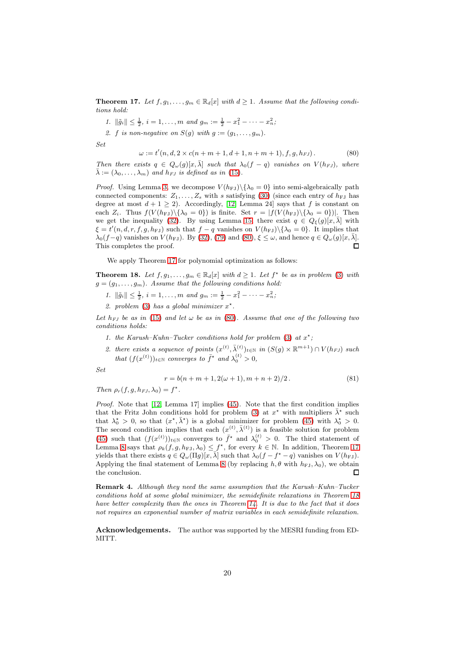<span id="page-19-0"></span>**Theorem 17.** Let  $f, g_1, \ldots, g_m \in \mathbb{R}_d[x]$  with  $d \geq 1$ . Assume that the following conditions hold:

1.  $\|\tilde{g}_i\| \leq \frac{1}{2}, i = 1, \ldots, m \text{ and } g_m := \frac{1}{2} - x_1^2 - \cdots - x_n^2;$ 

<span id="page-19-2"></span>2. f is non-negative on  $S(q)$  with  $q := (q_1, \ldots, q_m)$ .

Set

$$
\omega := t'(n, d, 2 \times c(n+m+1, d+1, n+m+1), f, g, h_{FJ}).
$$
\n(80)

Then there exists  $q \in Q_{\omega}(q)[x,\overline{\lambda}]$  such that  $\lambda_0(f-q)$  vanishes on  $V(h_{FJ})$ , where  $\bar{\lambda} := (\lambda_0, \ldots, \lambda_m)$  and  $h_{FJ}$  is defined as in [\(15\)](#page-4-0).

*Proof.* Using Lemma [3,](#page-6-5) we decompose  $V(h_{FJ})\setminus\{\lambda_0=0\}$  into semi-algebraically path connected components:  $Z_1, \ldots, Z_s$  with s satisfying [\(30\)](#page-8-3) (since each entry of  $h_{FJ}$  has degree at most  $d + 1 \geq 2$ ). Accordingly, [\[12,](#page-20-3) Lemma 24] says that f is constant on each  $Z_i$ . Thus  $f(V(h_{FJ})\setminus {\lambda_0 = 0}$  is finite. Set  $r = |f(V(h_{FJ})\setminus {\lambda_0 = 0}|)$ . Then we get the inequality [\(32\)](#page-8-2). By using Lemma [15,](#page-18-2) there exist  $q \in Q_{\xi}(g)[x,\overline{\lambda}]$  with  $\xi = t'(n, d, r, f, g, h_{FJ})$  such that  $f - q$  vanishes on  $V(h_{FJ})\backslash {\lambda_0 = 0}$ . It implies that  $\lambda_0(f-q)$  vanishes on  $V(h_{FJ})$ . By [\(32\)](#page-8-2), [\(79\)](#page-18-3) and [\(80\)](#page-19-2),  $\xi \leq \omega$ , and hence  $q \in Q_{\omega}(g)[x, \bar{\lambda}]$ . This completes the proof.  $\Box$ 

We apply Theorem [17](#page-19-0) for polynomial optimization as follows:

<span id="page-19-1"></span>**Theorem 18.** Let  $f, g_1, \ldots, g_m \in \mathbb{R}_d[x]$  with  $d \geq 1$ . Let  $f^*$  be as in problem [\(3\)](#page-2-0) with  $g = (g_1, \ldots, g_m)$ . Assume that the following conditions hold:

- 1.  $\|\tilde{g}_i\| \leq \frac{1}{2}, i = 1, ..., m$  and  $g_m := \frac{1}{2} x_1^2 \cdots x_n^2$ ;
- 2. problem [\(3\)](#page-2-0) has a global minimizer  $x^*$ .

Let  $h_{FJ}$  be as in [\(15\)](#page-4-0) and let  $\omega$  be as in [\(80\)](#page-19-2). Assume that one of the following two conditions holds:

- 1. the Karush-Kuhn-Tucker conditions hold for problem [\(3\)](#page-2-0) at  $x^*$ ;
- 2. there exists a sequence of points  $(x^{(t)}, \bar{\lambda}_{(t)}^{(t)})_{t \in \mathbb{N}}$  in  $(S(g) \times \mathbb{R}^{m+1}) \cap V(h_{FJ})$  such that  $(f(x^{(t)}))_{t \in \mathbb{N}}$  converges to  $\bar{f}^*$  and  $\lambda_0^{(t)} > 0$ ,

Set

$$
r = b(n + m + 1, 2(\omega + 1), m + n + 2)/2.
$$
 (81)

Then  $\rho_r(f, g, h_{FJ}, \lambda_0) = f^*$ .

Proof. Note that [\[12,](#page-20-3) Lemma 17] implies [\(45\)](#page-11-5). Note that the first condition implies that the Fritz John conditions hold for problem [\(3\)](#page-2-0) at  $x^*$  with multipliers  $\bar{\lambda}^*$  such that  $\lambda_0^* > 0$ , so that  $(x^*, \bar{\lambda}^*)$  is a global minimizer for problem [\(45\)](#page-11-5) with  $\lambda_0^* > 0$ . The second condition implies that each  $(x^{(t)}, \bar{\lambda}^{(t)})$  is a feasible solution for problem [\(45\)](#page-11-5) such that  $(f(x^{(t)}))_{t\in\mathbb{N}}$  converges to  $\bar{f}^*$  and  $\lambda_0^{(t)} > 0$ . The third statement of Lemma [8](#page-12-2) says that  $\rho_k(f, g, h_{FJ}, \lambda_0) \leq f^*$ , for every  $k \in \mathbb{N}$ . In addition, Theorem [17](#page-19-0) yields that there exists  $q \in Q_\omega(\Pi g)[x, \bar{\lambda}]$  such that  $\lambda_0(f - f^* - q)$  vanishes on  $V(h_{FJ})$ . Applying the final statement of Lemma [8](#page-12-2) (by replacing  $h, \theta$  with  $h_{FJ}, \lambda_0$ ), we obtain the conclusion.  $\Box$ 

Remark 4. Although they need the same assumption that the Karush–Kuhn–Tucker conditions hold at some global minimizer, the semidefinite relaxations in Theorem [18](#page-19-1) have better complexity than the ones in Theorem [14.](#page-15-1) It is due to the fact that it does not requires an exponential number of matrix variables in each semidefinite relaxation.

Acknowledgements. The author was supported by the MESRI funding from ED-MITT.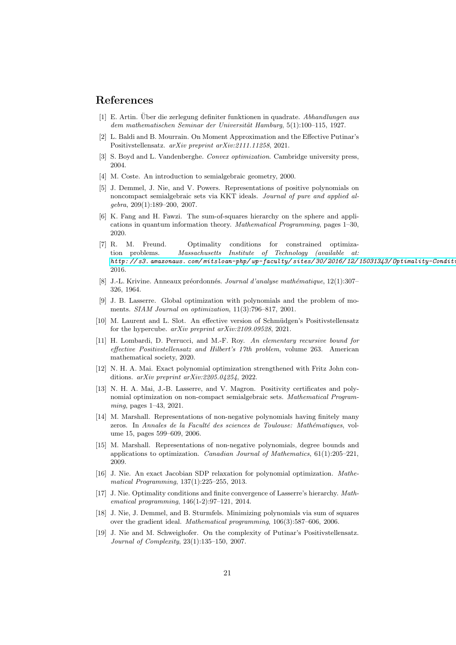## <span id="page-20-0"></span>References

- <span id="page-20-7"></span>[1] E. Artin. Über die zerlegung definiter funktionen in quadrate. Abhandlungen aus dem mathematischen Seminar der Universität Hamburg, 5(1):100–115, 1927.
- [2] L. Baldi and B. Mourrain. On Moment Approximation and the Effective Putinar's Positivstellensatz. arXiv preprint arXiv:2111.11258, 2021.
- <span id="page-20-16"></span><span id="page-20-4"></span>[3] S. Boyd and L. Vandenberghe. Convex optimization. Cambridge university press, 2004.
- <span id="page-20-14"></span>[4] M. Coste. An introduction to semialgebraic geometry, 2000.
- [5] J. Demmel, J. Nie, and V. Powers. Representations of positive polynomials on noncompact semialgebraic sets via KKT ideals. Journal of pure and applied algebra, 209(1):189–200, 2007.
- <span id="page-20-9"></span>[6] K. Fang and H. Fawzi. The sum-of-squares hierarchy on the sphere and applications in quantum information theory. Mathematical Programming, pages 1–30, 2020.
- <span id="page-20-18"></span>[7] R. M. Freund. Optimality conditions for constrained optimization problems. Massachusetts Institute of Technology (available at: *http:// s3. amazonaws.com/ mitsloan-php/ wp-faculty/ sites/ 30/ 2016/ 12/ 15031343/ Optimality-Condit<sup>,</sup>* 2016.
- <span id="page-20-1"></span>[8] J.-L. Krivine. Anneaux préordonnés. Journal d'analyse mathématique, 12(1):307– 326, 1964.
- <span id="page-20-5"></span>[9] J. B. Lasserre. Global optimization with polynomials and the problem of moments. SIAM Journal on optimization, 11(3):796–817, 2001.
- <span id="page-20-8"></span>[10] M. Laurent and L. Slot. An effective version of Schmüdgen's Positivstellensatz for the hypercube. arXiv preprint arXiv:2109.09528, 2021.
- <span id="page-20-2"></span>[11] H. Lombardi, D. Perrucci, and M.-F. Roy. An elementary recursive bound for effective Positivstellensatz and Hilbert's 17th problem, volume 263. American mathematical society, 2020.
- <span id="page-20-3"></span>[12] N. H. A. Mai. Exact polynomial optimization strengthened with Fritz John conditions. arXiv preprint arXiv:2205.04254, 2022.
- <span id="page-20-17"></span>[13] N. H. A. Mai, J.-B. Lasserre, and V. Magron. Positivity certificates and polynomial optimization on non-compact semialgebraic sets. Mathematical Programming, pages 1–43, 2021.
- <span id="page-20-10"></span>[14] M. Marshall. Representations of non-negative polynomials having finitely many zeros. In Annales de la Faculté des sciences de Toulouse: Mathématiques, volume 15, pages 599–609, 2006.
- <span id="page-20-11"></span>[15] M. Marshall. Representations of non-negative polynomials, degree bounds and applications to optimization. *Canadian Journal of Mathematics*,  $61(1):205-221$ , 2009.
- <span id="page-20-15"></span>[16] J. Nie. An exact Jacobian SDP relaxation for polynomial optimization. Mathematical Programming, 137(1):225–255, 2013.
- <span id="page-20-12"></span>[17] J. Nie. Optimality conditions and finite convergence of Lasserre's hierarchy. Mathematical programming, 146(1-2):97–121, 2014.
- <span id="page-20-13"></span>[18] J. Nie, J. Demmel, and B. Sturmfels. Minimizing polynomials via sum of squares over the gradient ideal. Mathematical programming, 106(3):587–606, 2006.
- <span id="page-20-6"></span>[19] J. Nie and M. Schweighofer. On the complexity of Putinar's Positivstellensatz. Journal of Complexity, 23(1):135–150, 2007.